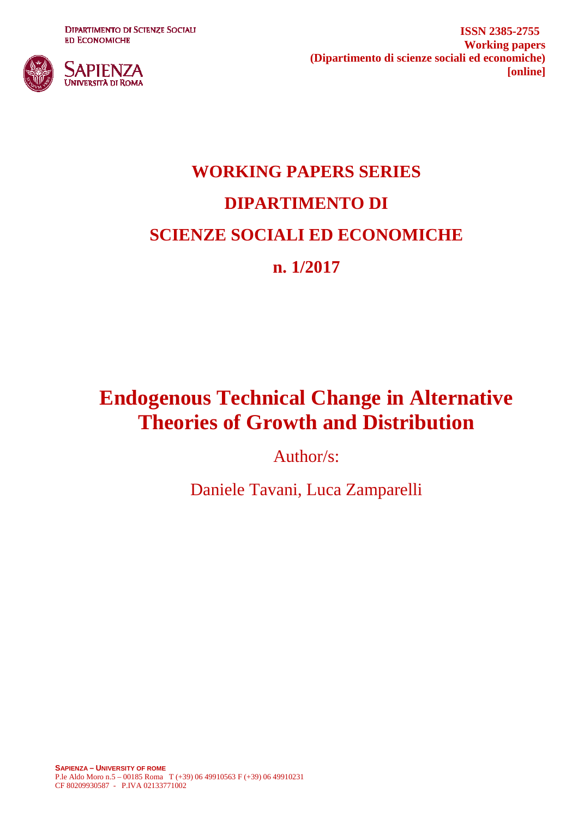**DIPARTIMENTO DI SCIENZE SOCIALI ED ECONOMICHE** 



**ISSN 2385-2755 Working papers (Dipartimento di scienze sociali ed economiche) [online]**

# **WORKING PAPERS SERIES DIPARTIMENTO DI SCIENZE SOCIALI ED ECONOMICHE n. 1/2017**

## **Endogenous Technical Change in Alternative Theories of Growth and Distribution**

Author/s:

Daniele Tavani, Luca Zamparelli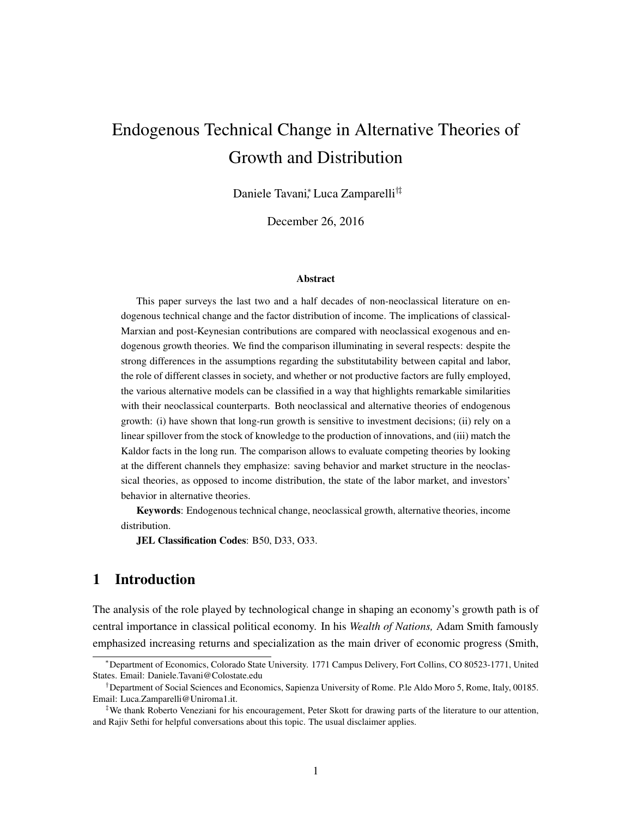## Endogenous Technical Change in Alternative Theories of Growth and Distribution

Daniele Tavani⇤ *,* Luca Zamparelli*†‡*

December 26, 2016

#### Abstract

This paper surveys the last two and a half decades of non-neoclassical literature on endogenous technical change and the factor distribution of income. The implications of classical-Marxian and post-Keynesian contributions are compared with neoclassical exogenous and endogenous growth theories. We find the comparison illuminating in several respects: despite the strong differences in the assumptions regarding the substitutability between capital and labor, the role of different classes in society, and whether or not productive factors are fully employed, the various alternative models can be classified in a way that highlights remarkable similarities with their neoclassical counterparts. Both neoclassical and alternative theories of endogenous growth: (i) have shown that long-run growth is sensitive to investment decisions; (ii) rely on a linear spillover from the stock of knowledge to the production of innovations, and (iii) match the Kaldor facts in the long run. The comparison allows to evaluate competing theories by looking at the different channels they emphasize: saving behavior and market structure in the neoclassical theories, as opposed to income distribution, the state of the labor market, and investors' behavior in alternative theories.

Keywords: Endogenous technical change, neoclassical growth, alternative theories, income distribution.

JEL Classification Codes: B50, D33, O33.

## 1 Introduction

The analysis of the role played by technological change in shaping an economy's growth path is of central importance in classical political economy. In his *Wealth of Nations,* Adam Smith famously emphasized increasing returns and specialization as the main driver of economic progress [\(Smith,](#page-37-0)

<sup>⇤</sup>Department of Economics, Colorado State University. 1771 Campus Delivery, Fort Collins, CO 80523-1771, United States. Email: Daniele.Tavani@Colostate.edu

*<sup>†</sup>*Department of Social Sciences and Economics, Sapienza University of Rome. P.le Aldo Moro 5, Rome, Italy, 00185. Email: Luca.Zamparelli@Uniroma1.it.

*<sup>‡</sup>*We thank Roberto Veneziani for his encouragement, Peter Skott for drawing parts of the literature to our attention, and Rajiv Sethi for helpful conversations about this topic. The usual disclaimer applies.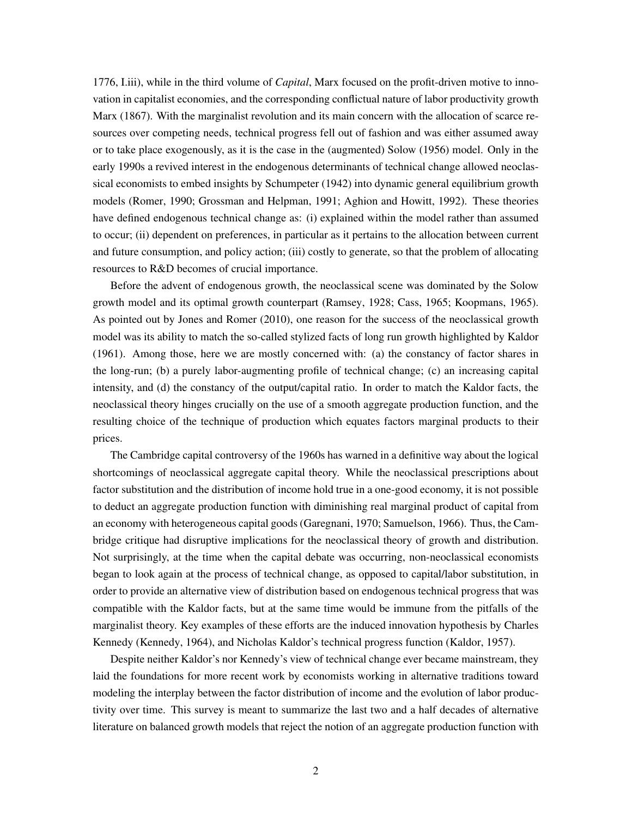[1776, I.iii\)](#page-37-0), while in the third volume of *Capital*, Marx focused on the profit-driven motive to innovation in capitalist economies, and the corresponding conflictual nature of labor productivity growth [Marx](#page-34-0) [\(1867\)](#page-34-0). With the marginalist revolution and its main concern with the allocation of scarce resources over competing needs, technical progress fell out of fashion and was either assumed away or to take place exogenously, as it is the case in the (augmented) [Solow](#page-37-1) [\(1956\)](#page-37-1) model. Only in the early 1990s a revived interest in the endogenous determinants of technical change allowed neoclassical economists to embed insights by [Schumpeter](#page-36-0) [\(1942\)](#page-36-0) into dynamic general equilibrium growth models [\(Romer, 1990;](#page-35-0) [Grossman and Helpman, 1991;](#page-33-0) [Aghion and Howitt, 1992\)](#page-32-0). These theories have defined endogenous technical change as: (i) explained within the model rather than assumed to occur; (ii) dependent on preferences, in particular as it pertains to the allocation between current and future consumption, and policy action; (iii) costly to generate, so that the problem of allocating resources to R&D becomes of crucial importance.

Before the advent of endogenous growth, the neoclassical scene was dominated by the Solow growth model and its optimal growth counterpart [\(Ramsey, 1928;](#page-35-1) [Cass, 1965;](#page-32-1) [Koopmans, 1965\)](#page-34-1). As pointed out by [Jones and Romer](#page-34-2) [\(2010\)](#page-34-2), one reason for the success of the neoclassical growth model was its ability to match the so-called stylized facts of long run growth highlighted by [Kaldor](#page-34-3) [\(1961\)](#page-34-3). Among those, here we are mostly concerned with: (a) the constancy of factor shares in the long-run; (b) a purely labor-augmenting profile of technical change; (c) an increasing capital intensity, and (d) the constancy of the output/capital ratio. In order to match the Kaldor facts, the neoclassical theory hinges crucially on the use of a smooth aggregate production function, and the resulting choice of the technique of production which equates factors marginal products to their prices.

The Cambridge capital controversy of the 1960s has warned in a definitive way about the logical shortcomings of neoclassical aggregate capital theory. While the neoclassical prescriptions about factor substitution and the distribution of income hold true in a one-good economy, it is not possible to deduct an aggregate production function with diminishing real marginal product of capital from an economy with heterogeneous capital goods [\(Garegnani, 1970;](#page-33-1) [Samuelson, 1966\)](#page-36-1). Thus, the Cambridge critique had disruptive implications for the neoclassical theory of growth and distribution. Not surprisingly, at the time when the capital debate was occurring, non-neoclassical economists began to look again at the process of technical change, as opposed to capital/labor substitution, in order to provide an alternative view of distribution based on endogenous technical progress that was compatible with the Kaldor facts, but at the same time would be immune from the pitfalls of the marginalist theory. Key examples of these efforts are the induced innovation hypothesis by Charles Kennedy [\(Kennedy, 1964\)](#page-34-4), and Nicholas Kaldor's technical progress function [\(Kaldor, 1957\)](#page-34-5).

Despite neither Kaldor's nor Kennedy's view of technical change ever became mainstream, they laid the foundations for more recent work by economists working in alternative traditions toward modeling the interplay between the factor distribution of income and the evolution of labor productivity over time. This survey is meant to summarize the last two and a half decades of alternative literature on balanced growth models that reject the notion of an aggregate production function with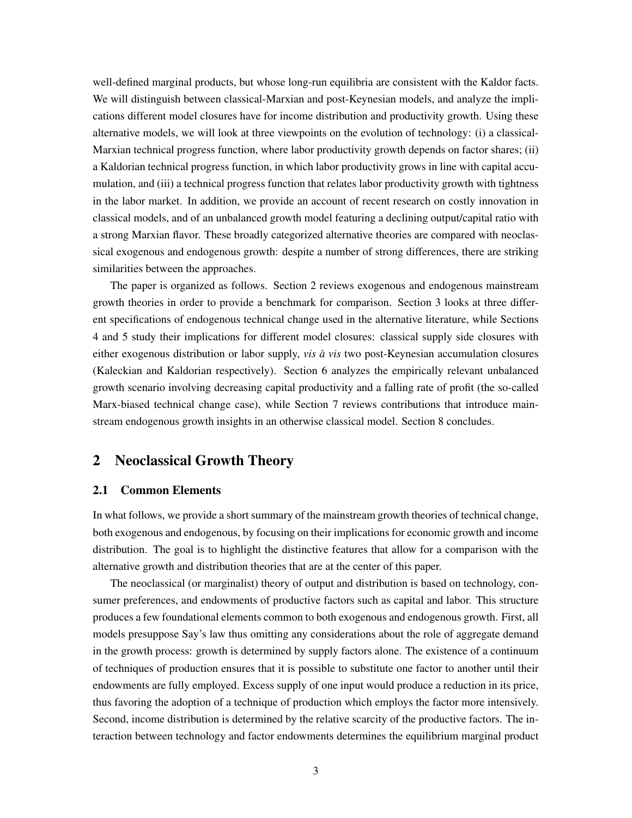well-defined marginal products, but whose long-run equilibria are consistent with the Kaldor facts. We will distinguish between classical-Marxian and post-Keynesian models, and analyze the implications different model closures have for income distribution and productivity growth. Using these alternative models, we will look at three viewpoints on the evolution of technology: (i) a classical-Marxian technical progress function, where labor productivity growth depends on factor shares; (ii) a Kaldorian technical progress function, in which labor productivity grows in line with capital accumulation, and (iii) a technical progress function that relates labor productivity growth with tightness in the labor market. In addition, we provide an account of recent research on costly innovation in classical models, and of an unbalanced growth model featuring a declining output/capital ratio with a strong Marxian flavor. These broadly categorized alternative theories are compared with neoclassical exogenous and endogenous growth: despite a number of strong differences, there are striking similarities between the approaches.

The paper is organized as follows. Section [2](#page-3-0) reviews exogenous and endogenous mainstream growth theories in order to provide a benchmark for comparison. Section [3](#page-8-0) looks at three different specifications of endogenous technical change used in the alternative literature, while Sections [4](#page-13-0) and [5](#page-19-0) study their implications for different model closures: classical supply side closures with either exogenous distribution or labor supply, *vis à vis* two post-Keynesian accumulation closures (Kaleckian and Kaldorian respectively). Section [6](#page-25-0) analyzes the empirically relevant unbalanced growth scenario involving decreasing capital productivity and a falling rate of profit (the so-called Marx-biased technical change case), while Section [7](#page-27-0) reviews contributions that introduce mainstream endogenous growth insights in an otherwise classical model. Section [8](#page-29-0) concludes.

## <span id="page-3-0"></span>2 Neoclassical Growth Theory

#### 2.1 Common Elements

In what follows, we provide a short summary of the mainstream growth theories of technical change, both exogenous and endogenous, by focusing on their implications for economic growth and income distribution. The goal is to highlight the distinctive features that allow for a comparison with the alternative growth and distribution theories that are at the center of this paper.

The neoclassical (or marginalist) theory of output and distribution is based on technology, consumer preferences, and endowments of productive factors such as capital and labor. This structure produces a few foundational elements common to both exogenous and endogenous growth. First, all models presuppose Say's law thus omitting any considerations about the role of aggregate demand in the growth process: growth is determined by supply factors alone. The existence of a continuum of techniques of production ensures that it is possible to substitute one factor to another until their endowments are fully employed. Excess supply of one input would produce a reduction in its price, thus favoring the adoption of a technique of production which employs the factor more intensively. Second, income distribution is determined by the relative scarcity of the productive factors. The interaction between technology and factor endowments determines the equilibrium marginal product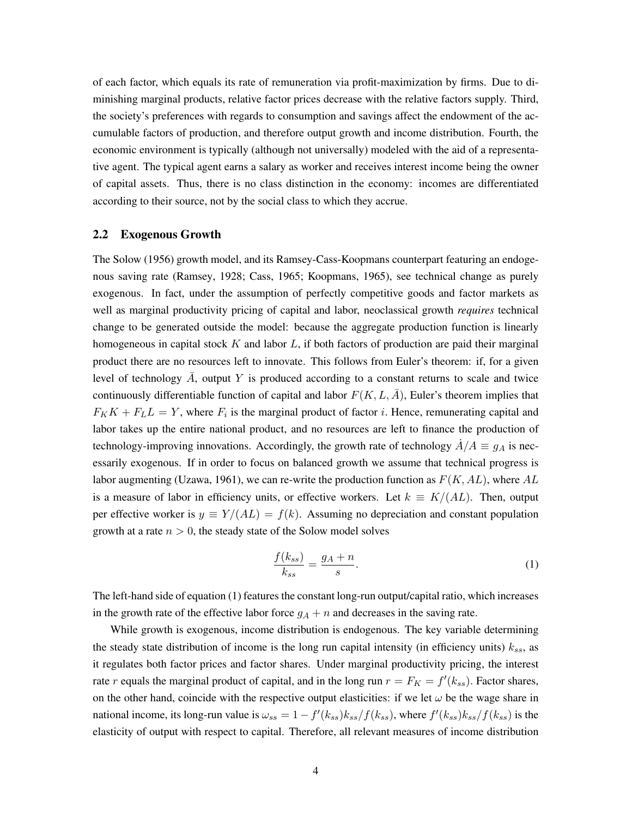of each factor, which equals its rate of remuneration via profit-maximization by firms. Due to diminishing marginal products, relative factor prices decrease with the relative factors supply. Third, the society's preferences with regards to consumption and savings affect the endowment of the accumulable factors of production, and therefore output growth and income distribution. Fourth, the economic environment is typically (although not universally) modeled with the aid of a representative agent. The typical agent earns a salary as worker and receives interest income being the owner of capital assets. Thus, there is no class distinction in the economy: incomes are differentiated according to their source, not by the social class to which they accrue.

#### 2.2 Exogenous Growth

The [Solow](#page-37-1) [\(1956\)](#page-37-1) growth model, and its Ramsey-Cass-Koopmans counterpart featuring an endogenous saving rate [\(Ramsey, 1928;](#page-35-1) [Cass, 1965;](#page-32-1) [Koopmans, 1965\)](#page-34-1), see technical change as purely exogenous. In fact, under the assumption of perfectly competitive goods and factor markets as well as marginal productivity pricing of capital and labor, neoclassical growth *requires* technical change to be generated outside the model: because the aggregate production function is linearly homogeneous in capital stock *K* and labor *L*, if both factors of production are paid their marginal product there are no resources left to innovate. This follows from Euler's theorem: if, for a given level of technology  $\overline{A}$ , output  $Y$  is produced according to a constant returns to scale and twice continuously differentiable function of capital and labor  $F(K, L, \overline{A})$ , Euler's theorem implies that  $F_K K + F_L L = Y$ , where  $F_i$  is the marginal product of factor *i*. Hence, remunerating capital and labor takes up the entire national product, and no resources are left to finance the production of technology-improving innovations. Accordingly, the growth rate of technology  $\dot{A}/A \equiv g_A$  is necessarily exogenous. If in order to focus on balanced growth we assume that technical progress is labor augmenting [\(Uzawa, 1961\)](#page-37-2), we can re-write the production function as *F*(*K, AL*), where *AL* is a measure of labor in efficiency units, or effective workers. Let  $k \equiv K/(AL)$ . Then, output per effective worker is  $y \equiv Y/(AL) = f(k)$ . Assuming no depreciation and constant population growth at a rate  $n > 0$ , the steady state of the Solow model solves

<span id="page-4-0"></span>
$$
\frac{f(k_{ss})}{k_{ss}} = \frac{g_A + n}{s}.\tag{1}
$$

The left-hand side of equation [\(1\)](#page-4-0) features the constant long-run output/capital ratio, which increases in the growth rate of the effective labor force  $g_A + n$  and decreases in the saving rate.

While growth is exogenous, income distribution is endogenous. The key variable determining the steady state distribution of income is the long run capital intensity (in efficiency units) *kss*, as it regulates both factor prices and factor shares. Under marginal productivity pricing, the interest rate *r* equals the marginal product of capital, and in the long run  $r = F_K = f'(k_{ss})$ . Factor shares, on the other hand, coincide with the respective output elasticities: if we let  $\omega$  be the wage share in national income, its long-run value is  $\omega_{ss} = 1 - f'(k_{ss})k_{ss}/f(k_{ss})$ , where  $f'(k_{ss})k_{ss}/f(k_{ss})$  is the elasticity of output with respect to capital. Therefore, all relevant measures of income distribution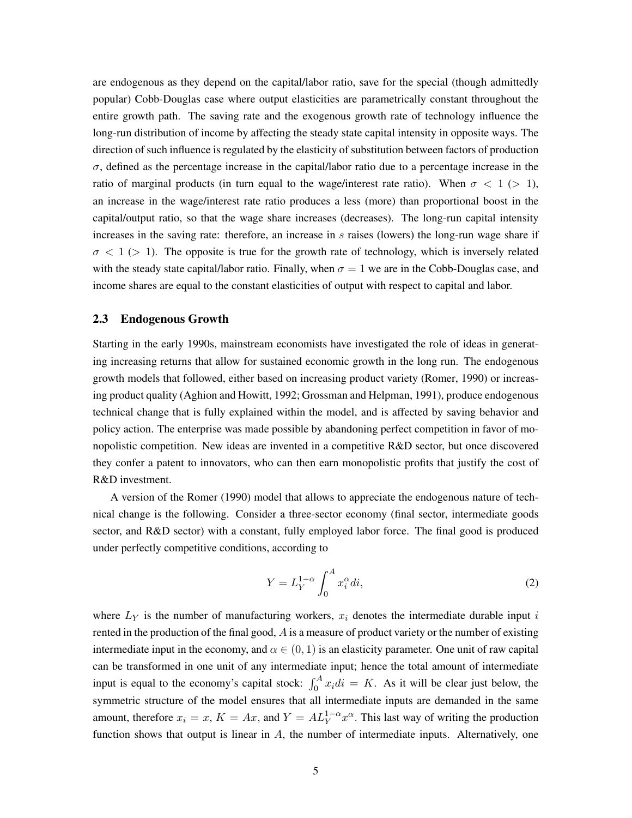are endogenous as they depend on the capital/labor ratio, save for the special (though admittedly popular) Cobb-Douglas case where output elasticities are parametrically constant throughout the entire growth path. The saving rate and the exogenous growth rate of technology influence the long-run distribution of income by affecting the steady state capital intensity in opposite ways. The direction of such influence is regulated by the elasticity of substitution between factors of production  $\sigma$ , defined as the percentage increase in the capital/labor ratio due to a percentage increase in the ratio of marginal products (in turn equal to the wage/interest rate ratio). When  $\sigma < 1$  ( $> 1$ ), an increase in the wage/interest rate ratio produces a less (more) than proportional boost in the capital/output ratio, so that the wage share increases (decreases). The long-run capital intensity increases in the saving rate: therefore, an increase in *s* raises (lowers) the long-run wage share if  $\sigma$  < 1 ( $>$  1). The opposite is true for the growth rate of technology, which is inversely related with the steady state capital/labor ratio. Finally, when  $\sigma = 1$  we are in the Cobb-Douglas case, and income shares are equal to the constant elasticities of output with respect to capital and labor.

### 2.3 Endogenous Growth

Starting in the early 1990s, mainstream economists have investigated the role of ideas in generating increasing returns that allow for sustained economic growth in the long run. The endogenous growth models that followed, either based on increasing product variety [\(Romer, 1990\)](#page-35-0) or increasing product quality [\(Aghion and Howitt, 1992;](#page-32-0) [Grossman and Helpman, 1991\)](#page-33-0), produce endogenous technical change that is fully explained within the model, and is affected by saving behavior and policy action. The enterprise was made possible by abandoning perfect competition in favor of monopolistic competition. New ideas are invented in a competitive R&D sector, but once discovered they confer a patent to innovators, who can then earn monopolistic profits that justify the cost of R&D investment.

A version of the [Romer](#page-35-0) [\(1990\)](#page-35-0) model that allows to appreciate the endogenous nature of technical change is the following. Consider a three-sector economy (final sector, intermediate goods sector, and R&D sector) with a constant, fully employed labor force. The final good is produced under perfectly competitive conditions, according to

<span id="page-5-0"></span>
$$
Y = L_Y^{1-\alpha} \int_0^A x_i^{\alpha} di,
$$
\n(2)

where *L<sup>Y</sup>* is the number of manufacturing workers, *x<sup>i</sup>* denotes the intermediate durable input *i* rented in the production of the final good, *A* is a measure of product variety or the number of existing intermediate input in the economy, and  $\alpha \in (0, 1)$  is an elasticity parameter. One unit of raw capital can be transformed in one unit of any intermediate input; hence the total amount of intermediate input is equal to the economy's capital stock:  $\int_0^A x_i \, di = K$ . As it will be clear just below, the symmetric structure of the model ensures that all intermediate inputs are demanded in the same amount, therefore  $x_i = x$ ,  $K = Ax$ , and  $Y = AL_Y^{1-\alpha} x^{\alpha}$ . This last way of writing the production function shows that output is linear in *A*, the number of intermediate inputs. Alternatively, one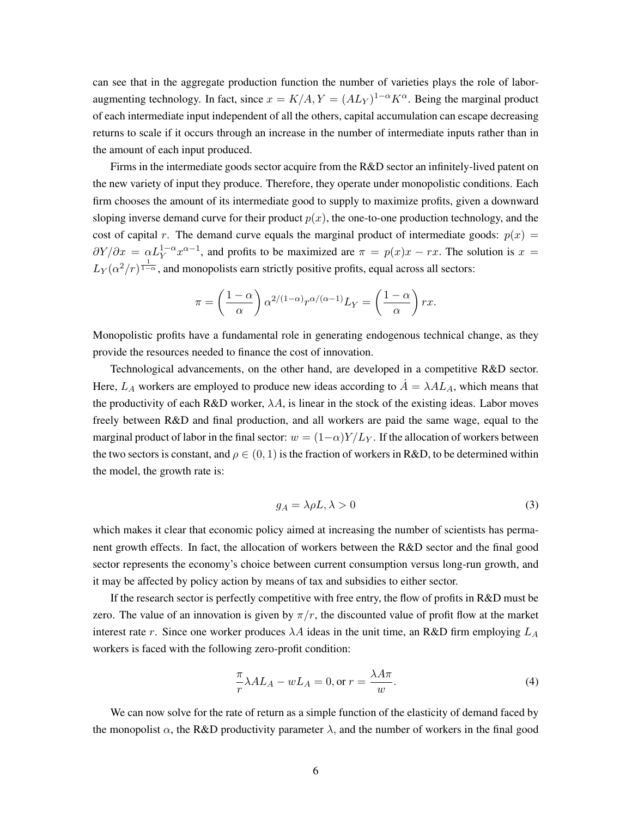can see that in the aggregate production function the number of varieties plays the role of laboraugmenting technology. In fact, since  $x = K/A$ ,  $Y = (AL<sub>Y</sub>)^{1-\alpha} K^{\alpha}$ . Being the marginal product of each intermediate input independent of all the others, capital accumulation can escape decreasing returns to scale if it occurs through an increase in the number of intermediate inputs rather than in the amount of each input produced.

Firms in the intermediate goods sector acquire from the R&D sector an infinitely-lived patent on the new variety of input they produce. Therefore, they operate under monopolistic conditions. Each firm chooses the amount of its intermediate good to supply to maximize profits, given a downward sloping inverse demand curve for their product  $p(x)$ , the one-to-one production technology, and the cost of capital *r*. The demand curve equals the marginal product of intermediate goods:  $p(x) =$  $\partial Y/\partial x = \alpha L_Y^{1-\alpha} x^{\alpha-1}$ , and profits to be maximized are  $\pi = p(x)x - rx$ . The solution is  $x =$  $L_Y(\alpha^2/r)^{\frac{1}{1-\alpha}}$ , and monopolists earn strictly positive profits, equal across all sectors:

$$
\pi = \left(\frac{1-\alpha}{\alpha}\right) \alpha^{2/(1-\alpha)} r^{\alpha/(\alpha-1)} L_Y = \left(\frac{1-\alpha}{\alpha}\right) rx.
$$

Monopolistic profits have a fundamental role in generating endogenous technical change, as they provide the resources needed to finance the cost of innovation.

Technological advancements, on the other hand, are developed in a competitive R&D sector. Here,  $L_A$  workers are employed to produce new ideas according to  $\dot{A} = \lambda A L_A$ , which means that the productivity of each R&D worker,  $\lambda A$ , is linear in the stock of the existing ideas. Labor moves freely between R&D and final production, and all workers are paid the same wage, equal to the marginal product of labor in the final sector:  $w = (1-\alpha)Y/L_y$ . If the allocation of workers between the two sectors is constant, and  $\rho \in (0, 1)$  is the fraction of workers in R&D, to be determined within the model, the growth rate is:

<span id="page-6-0"></span>
$$
g_A = \lambda \rho L, \lambda > 0 \tag{3}
$$

which makes it clear that economic policy aimed at increasing the number of scientists has permanent growth effects. In fact, the allocation of workers between the R&D sector and the final good sector represents the economy's choice between current consumption versus long-run growth, and it may be affected by policy action by means of tax and subsidies to either sector.

If the research sector is perfectly competitive with free entry, the flow of profits in R&D must be zero. The value of an innovation is given by  $\pi/r$ , the discounted value of profit flow at the market interest rate *r*. Since one worker produces  $\lambda A$  ideas in the unit time, an R&D firm employing  $L_A$ workers is faced with the following zero-profit condition:

$$
\frac{\pi}{r}\lambda A L_A - w L_A = 0, \text{or } r = \frac{\lambda A \pi}{w}.
$$
\n(4)

We can now solve for the rate of return as a simple function of the elasticity of demand faced by the monopolist  $\alpha$ , the R&D productivity parameter  $\lambda$ , and the number of workers in the final good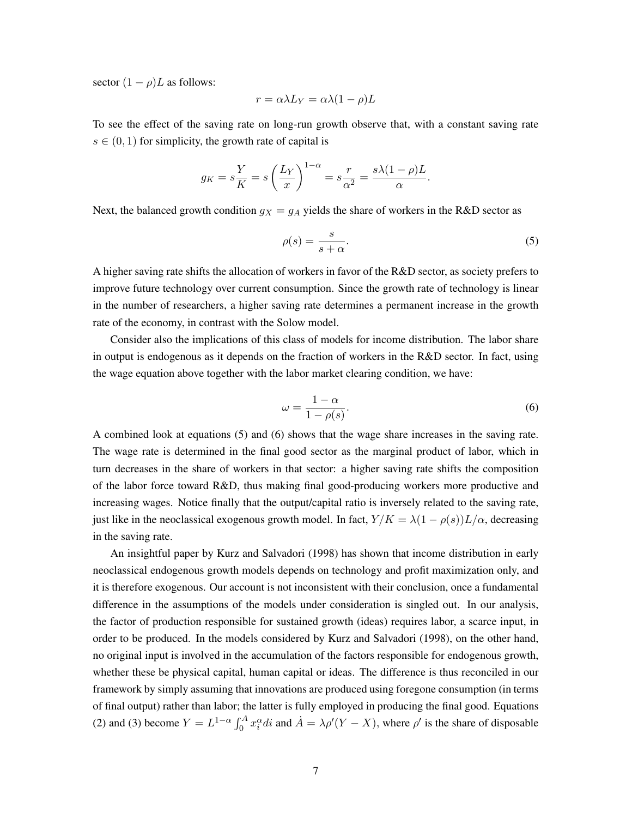sector  $(1 - \rho)L$  as follows:

$$
r = \alpha \lambda L_Y = \alpha \lambda (1 - \rho) L
$$

To see the effect of the saving rate on long-run growth observe that, with a constant saving rate  $s \in (0, 1)$  for simplicity, the growth rate of capital is

$$
g_K = s\frac{Y}{K} = s\left(\frac{L_Y}{x}\right)^{1-\alpha} = s\frac{r}{\alpha^2} = \frac{s\lambda(1-\rho)L}{\alpha}.
$$

Next, the balanced growth condition  $g_X = g_A$  yields the share of workers in the R&D sector as

<span id="page-7-0"></span>
$$
\rho(s) = \frac{s}{s + \alpha}.\tag{5}
$$

A higher saving rate shifts the allocation of workers in favor of the R&D sector, as society prefers to improve future technology over current consumption. Since the growth rate of technology is linear in the number of researchers, a higher saving rate determines a permanent increase in the growth rate of the economy, in contrast with the Solow model.

Consider also the implications of this class of models for income distribution. The labor share in output is endogenous as it depends on the fraction of workers in the R&D sector. In fact, using the wage equation above together with the labor market clearing condition, we have:

<span id="page-7-1"></span>
$$
\omega = \frac{1 - \alpha}{1 - \rho(s)}.\tag{6}
$$

A combined look at equations [\(5\)](#page-7-0) and [\(6\)](#page-7-1) shows that the wage share increases in the saving rate. The wage rate is determined in the final good sector as the marginal product of labor, which in turn decreases in the share of workers in that sector: a higher saving rate shifts the composition of the labor force toward R&D, thus making final good-producing workers more productive and increasing wages. Notice finally that the output/capital ratio is inversely related to the saving rate, just like in the neoclassical exogenous growth model. In fact,  $Y/K = \lambda(1 - \rho(s))L/\alpha$ , decreasing in the saving rate.

An insightful paper by [Kurz and Salvadori](#page-34-6) [\(1998\)](#page-34-6) has shown that income distribution in early neoclassical endogenous growth models depends on technology and profit maximization only, and it is therefore exogenous. Our account is not inconsistent with their conclusion, once a fundamental difference in the assumptions of the models under consideration is singled out. In our analysis, the factor of production responsible for sustained growth (ideas) requires labor, a scarce input, in order to be produced. In the models considered by [Kurz and Salvadori](#page-34-6) [\(1998\)](#page-34-6), on the other hand, no original input is involved in the accumulation of the factors responsible for endogenous growth, whether these be physical capital, human capital or ideas. The difference is thus reconciled in our framework by simply assuming that innovations are produced using foregone consumption (in terms of final output) rather than labor; the latter is fully employed in producing the final good. Equations [\(2\)](#page-5-0) and [\(3\)](#page-6-0) become  $Y = L^{1-\alpha} \int_0^A x_i^{\alpha} di$  and  $\dot{A} = \lambda \rho'(Y - X)$ , where  $\rho'$  is the share of disposable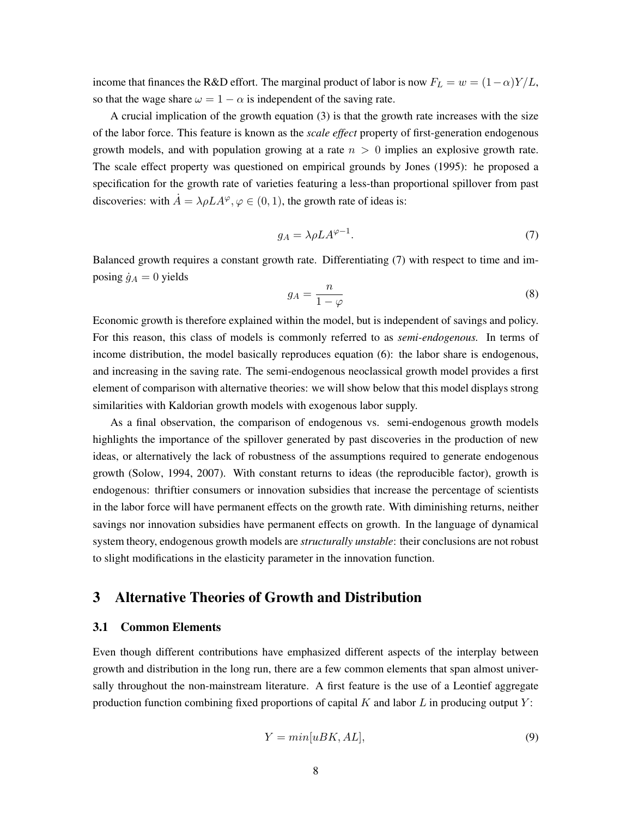income that finances the R&D effort. The marginal product of labor is now  $F_L = w = (1 - \alpha)Y/L$ , so that the wage share  $\omega = 1 - \alpha$  is independent of the saving rate.

A crucial implication of the growth equation [\(3\)](#page-6-0) is that the growth rate increases with the size of the labor force. This feature is known as the *scale effect* property of first-generation endogenous growth models, and with population growing at a rate *n >* 0 implies an explosive growth rate. The scale effect property was questioned on empirical grounds by [Jones](#page-34-7) [\(1995\)](#page-34-7): he proposed a specification for the growth rate of varieties featuring a less-than proportional spillover from past discoveries: with  $\dot{A} = \lambda \rho L A^{\varphi}, \varphi \in (0, 1)$ , the growth rate of ideas is:

<span id="page-8-1"></span>
$$
g_A = \lambda \rho L A^{\varphi - 1}.
$$
 (7)

Balanced growth requires a constant growth rate. Differentiating [\(7\)](#page-8-1) with respect to time and imposing  $\dot{g}_A = 0$  yields

$$
g_A = \frac{n}{1 - \varphi} \tag{8}
$$

Economic growth is therefore explained within the model, but is independent of savings and policy. For this reason, this class of models is commonly referred to as *semi-endogenous.* In terms of income distribution, the model basically reproduces equation [\(6\)](#page-7-1): the labor share is endogenous, and increasing in the saving rate. The semi-endogenous neoclassical growth model provides a first element of comparison with alternative theories: we will show below that this model displays strong similarities with Kaldorian growth models with exogenous labor supply.

As a final observation, the comparison of endogenous vs. semi-endogenous growth models highlights the importance of the spillover generated by past discoveries in the production of new ideas, or alternatively the lack of robustness of the assumptions required to generate endogenous growth [\(Solow, 1994,](#page-37-3) [2007\)](#page-37-4). With constant returns to ideas (the reproducible factor), growth is endogenous: thriftier consumers or innovation subsidies that increase the percentage of scientists in the labor force will have permanent effects on the growth rate. With diminishing returns, neither savings nor innovation subsidies have permanent effects on growth. In the language of dynamical system theory, endogenous growth models are *structurally unstable*: their conclusions are not robust to slight modifications in the elasticity parameter in the innovation function.

## <span id="page-8-0"></span>3 Alternative Theories of Growth and Distribution

## <span id="page-8-2"></span>3.1 Common Elements

Even though different contributions have emphasized different aspects of the interplay between growth and distribution in the long run, there are a few common elements that span almost universally throughout the non-mainstream literature. A first feature is the use of a Leontief aggregate production function combining fixed proportions of capital *K* and labor *L* in producing output *Y* :

$$
Y = min[uBK, AL],\tag{9}
$$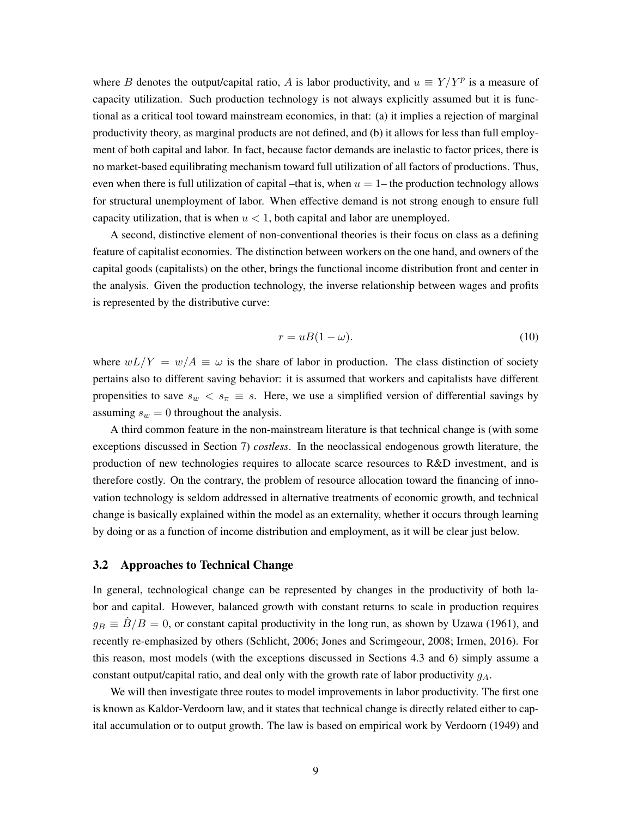where *B* denotes the output/capital ratio, *A* is labor productivity, and  $u \equiv Y/Y^p$  is a measure of capacity utilization. Such production technology is not always explicitly assumed but it is functional as a critical tool toward mainstream economics, in that: (a) it implies a rejection of marginal productivity theory, as marginal products are not defined, and (b) it allows for less than full employment of both capital and labor. In fact, because factor demands are inelastic to factor prices, there is no market-based equilibrating mechanism toward full utilization of all factors of productions. Thus, even when there is full utilization of capital –that is, when  $u = 1$ – the production technology allows for structural unemployment of labor. When effective demand is not strong enough to ensure full capacity utilization, that is when  $u < 1$ , both capital and labor are unemployed.

A second, distinctive element of non-conventional theories is their focus on class as a defining feature of capitalist economies. The distinction between workers on the one hand, and owners of the capital goods (capitalists) on the other, brings the functional income distribution front and center in the analysis. Given the production technology, the inverse relationship between wages and profits is represented by the distributive curve:

<span id="page-9-0"></span>
$$
r = uB(1 - \omega). \tag{10}
$$

where  $wL/Y = w/A \equiv \omega$  is the share of labor in production. The class distinction of society pertains also to different saving behavior: it is assumed that workers and capitalists have different propensities to save  $s_w < s_\pi \equiv s$ . Here, we use a simplified version of differential savings by assuming  $s_w = 0$  throughout the analysis.

A third common feature in the non-mainstream literature is that technical change is (with some exceptions discussed in Section [7\)](#page-27-0) *costless*. In the neoclassical endogenous growth literature, the production of new technologies requires to allocate scarce resources to R&D investment, and is therefore costly. On the contrary, the problem of resource allocation toward the financing of innovation technology is seldom addressed in alternative treatments of economic growth, and technical change is basically explained within the model as an externality, whether it occurs through learning by doing or as a function of income distribution and employment, as it will be clear just below.

#### 3.2 Approaches to Technical Change

In general, technological change can be represented by changes in the productivity of both labor and capital. However, balanced growth with constant returns to scale in production requires  $g_B \equiv \dot{B}/B = 0$ , or constant capital productivity in the long run, as shown by [Uzawa](#page-37-2) [\(1961\)](#page-37-2), and recently re-emphasized by others [\(Schlicht, 2006;](#page-36-2) [Jones and Scrimgeour, 2008;](#page-34-8) [Irmen, 2016\)](#page-33-2). For this reason, most models (with the exceptions discussed in Sections [4.3](#page-16-0) and [6\)](#page-25-0) simply assume a constant output/capital ratio, and deal only with the growth rate of labor productivity *gA*.

We will then investigate three routes to model improvements in labor productivity. The first one is known as Kaldor-Verdoorn law, and it states that technical change is directly related either to capital accumulation or to output growth. The law is based on empirical work by [Verdoorn](#page-37-5) [\(1949\)](#page-37-5) and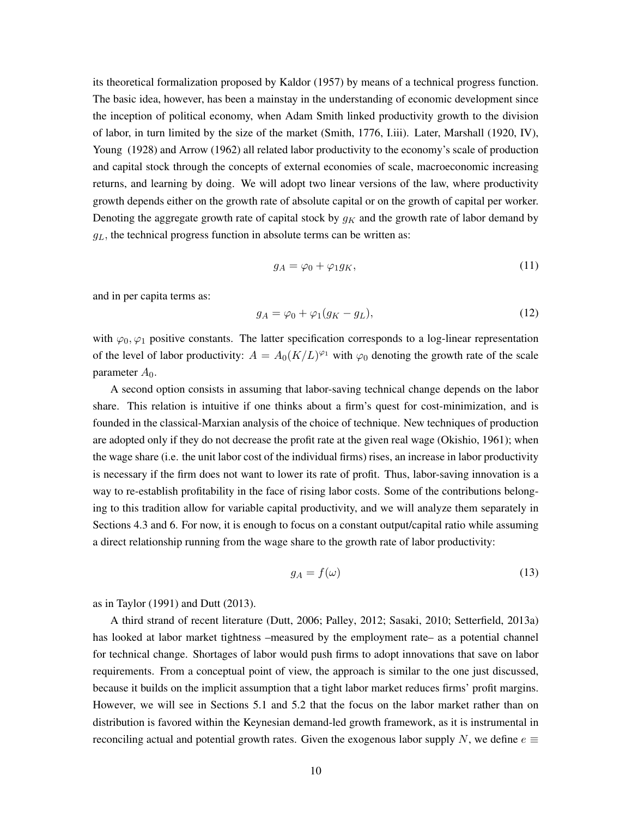its theoretical formalization proposed by [Kaldor](#page-34-5) [\(1957\)](#page-34-5) by means of a technical progress function. The basic idea, however, has been a mainstay in the understanding of economic development since the inception of political economy, when Adam Smith linked productivity growth to the division of labor, in turn limited by the size of the market [\(Smith, 1776, I.iii\)](#page-37-0). Later, [Marshall](#page-34-9) [\(1920, IV\)](#page-34-9), [Young](#page-37-6) [\(1928\)](#page-37-6) and [Arrow](#page-32-2) [\(1962\)](#page-32-2) all related labor productivity to the economy's scale of production and capital stock through the concepts of external economies of scale, macroeconomic increasing returns, and learning by doing. We will adopt two linear versions of the law, where productivity growth depends either on the growth rate of absolute capital or on the growth of capital per worker. Denoting the aggregate growth rate of capital stock by  $g_K$  and the growth rate of labor demand by  $g_L$ , the technical progress function in absolute terms can be written as:

<span id="page-10-2"></span>
$$
g_A = \varphi_0 + \varphi_1 g_K,\tag{11}
$$

and in per capita terms as:

<span id="page-10-0"></span>
$$
g_A = \varphi_0 + \varphi_1(g_K - g_L),\tag{12}
$$

with  $\varphi_0, \varphi_1$  positive constants. The latter specification corresponds to a log-linear representation of the level of labor productivity:  $A = A_0(K/L)^{\varphi_1}$  with  $\varphi_0$  denoting the growth rate of the scale parameter  $A_0$ .

A second option consists in assuming that labor-saving technical change depends on the labor share. This relation is intuitive if one thinks about a firm's quest for cost-minimization, and is founded in the classical-Marxian analysis of the choice of technique. New techniques of production are adopted only if they do not decrease the profit rate at the given real wage [\(Okishio, 1961\)](#page-35-2); when the wage share (i.e. the unit labor cost of the individual firms) rises, an increase in labor productivity is necessary if the firm does not want to lower its rate of profit. Thus, labor-saving innovation is a way to re-establish profitability in the face of rising labor costs. Some of the contributions belonging to this tradition allow for variable capital productivity, and we will analyze them separately in Sections [4.3](#page-16-0) and [6.](#page-25-0) For now, it is enough to focus on a constant output/capital ratio while assuming a direct relationship running from the wage share to the growth rate of labor productivity:

<span id="page-10-1"></span>
$$
g_A = f(\omega) \tag{13}
$$

as in [Taylor](#page-37-7) [\(1991\)](#page-37-7) and [Dutt](#page-33-3) [\(2013\)](#page-33-3).

A third strand of recent literature [\(Dutt, 2006;](#page-33-4) [Palley, 2012;](#page-35-3) [Sasaki, 2010;](#page-36-3) [Setterfield, 2013a\)](#page-36-4) has looked at labor market tightness –measured by the employment rate– as a potential channel for technical change. Shortages of labor would push firms to adopt innovations that save on labor requirements. From a conceptual point of view, the approach is similar to the one just discussed, because it builds on the implicit assumption that a tight labor market reduces firms' profit margins. However, we will see in Sections [5.1](#page-19-1) and [5.2](#page-22-0) that the focus on the labor market rather than on distribution is favored within the Keynesian demand-led growth framework, as it is instrumental in reconciling actual and potential growth rates. Given the exogenous labor supply N, we define  $e \equiv$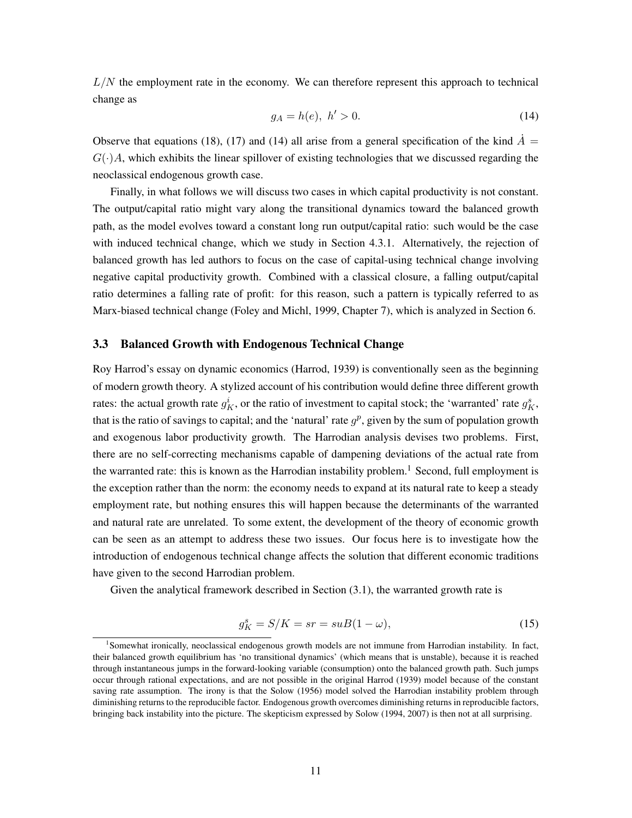*L/N* the employment rate in the economy. We can therefore represent this approach to technical change as

<span id="page-11-0"></span>
$$
g_A = h(e), h' > 0.
$$
 (14)

Observe that equations [\(18\)](#page-12-0), [\(17\)](#page-12-1) and [\(14\)](#page-11-0) all arise from a general specification of the kind  $\dot{A}$  =  $G(\cdot)A$ , which exhibits the linear spillover of existing technologies that we discussed regarding the neoclassical endogenous growth case.

Finally, in what follows we will discuss two cases in which capital productivity is not constant. The output/capital ratio might vary along the transitional dynamics toward the balanced growth path, as the model evolves toward a constant long run output/capital ratio: such would be the case with induced technical change, which we study in Section [4.3.1.](#page-18-0) Alternatively, the rejection of balanced growth has led authors to focus on the case of capital-using technical change involving negative capital productivity growth. Combined with a classical closure, a falling output/capital ratio determines a falling rate of profit: for this reason, such a pattern is typically referred to as Marx-biased technical change [\(Foley and Michl, 1999,](#page-33-5) Chapter 7), which is analyzed in Section [6.](#page-25-0)

## 3.3 Balanced Growth with Endogenous Technical Change

Roy Harrod's essay on dynamic economics [\(Harrod, 1939\)](#page-33-6) is conventionally seen as the beginning of modern growth theory. A stylized account of his contribution would define three different growth rates: the actual growth rate  $g_K^i$ , or the ratio of investment to capital stock; the 'warranted' rate  $g_K^s$ , that is the ratio of savings to capital; and the 'natural' rate  $g<sup>p</sup>$ , given by the sum of population growth and exogenous labor productivity growth. The Harrodian analysis devises two problems. First, there are no self-correcting mechanisms capable of dampening deviations of the actual rate from the warranted rate: this is known as the Harrodian instability problem.<sup>1</sup> Second, full employment is the exception rather than the norm: the economy needs to expand at its natural rate to keep a steady employment rate, but nothing ensures this will happen because the determinants of the warranted and natural rate are unrelated. To some extent, the development of the theory of economic growth can be seen as an attempt to address these two issues. Our focus here is to investigate how the introduction of endogenous technical change affects the solution that different economic traditions have given to the second Harrodian problem.

Given the analytical framework described in Section [\(3.1\)](#page-8-2), the warranted growth rate is

<span id="page-11-2"></span>
$$
g_K^s = S/K = sr = suB(1 - \omega),\tag{15}
$$

<span id="page-11-1"></span><sup>1</sup> Somewhat ironically, neoclassical endogenous growth models are not immune from Harrodian instability. In fact, their balanced growth equilibrium has 'no transitional dynamics' (which means that is unstable), because it is reached through instantaneous jumps in the forward-looking variable (consumption) onto the balanced growth path. Such jumps occur through rational expectations, and are not possible in the original [Harrod](#page-33-6) [\(1939\)](#page-33-6) model because of the constant saving rate assumption. The irony is that the [Solow](#page-37-1) [\(1956\)](#page-37-1) model solved the Harrodian instability problem through diminishing returns to the reproducible factor. Endogenous growth overcomes diminishing returns in reproducible factors, bringing back instability into the picture. The skepticism expressed by [Solow](#page-37-3) [\(1994,](#page-37-3) [2007\)](#page-37-4) is then not at all surprising.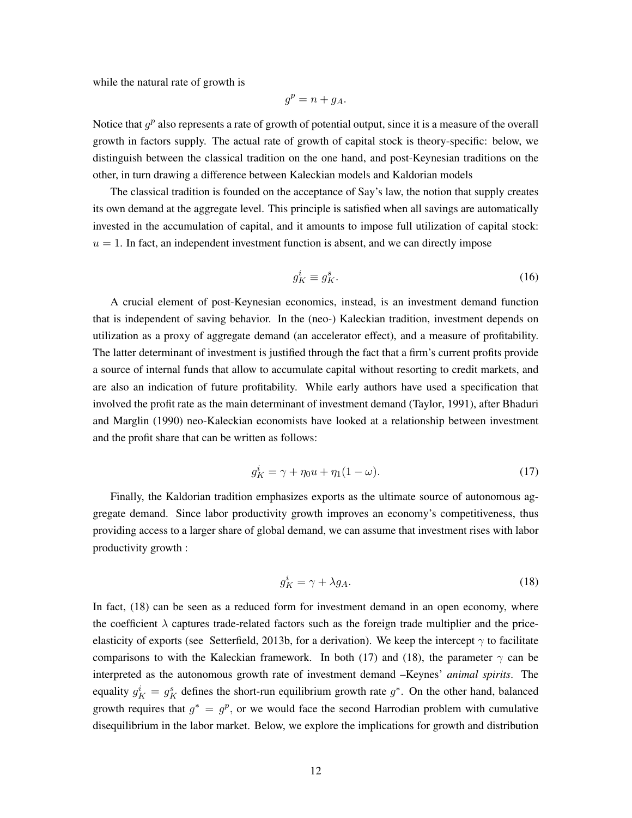while the natural rate of growth is

$$
g^p = n + g_A.
$$

Notice that  $g<sup>p</sup>$  also represents a rate of growth of potential output, since it is a measure of the overall growth in factors supply. The actual rate of growth of capital stock is theory-specific: below, we distinguish between the classical tradition on the one hand, and post-Keynesian traditions on the other, in turn drawing a difference between Kaleckian models and Kaldorian models

The classical tradition is founded on the acceptance of Say's law, the notion that supply creates its own demand at the aggregate level. This principle is satisfied when all savings are automatically invested in the accumulation of capital, and it amounts to impose full utilization of capital stock:  $u = 1$ . In fact, an independent investment function is absent, and we can directly impose

$$
g_K^i \equiv g_K^s. \tag{16}
$$

A crucial element of post-Keynesian economics, instead, is an investment demand function that is independent of saving behavior. In the (neo-) Kaleckian tradition, investment depends on utilization as a proxy of aggregate demand (an accelerator effect), and a measure of profitability. The latter determinant of investment is justified through the fact that a firm's current profits provide a source of internal funds that allow to accumulate capital without resorting to credit markets, and are also an indication of future profitability. While early authors have used a specification that involved the profit rate as the main determinant of investment demand [\(Taylor, 1991\)](#page-37-7), after [Bhaduri](#page-32-3) [and Marglin](#page-32-3) [\(1990\)](#page-32-3) neo-Kaleckian economists have looked at a relationship between investment and the profit share that can be written as follows:

<span id="page-12-1"></span>
$$
g_K^i = \gamma + \eta_0 u + \eta_1 (1 - \omega). \tag{17}
$$

Finally, the Kaldorian tradition emphasizes exports as the ultimate source of autonomous aggregate demand. Since labor productivity growth improves an economy's competitiveness, thus providing access to a larger share of global demand, we can assume that investment rises with labor productivity growth :

<span id="page-12-0"></span>
$$
g_K^i = \gamma + \lambda g_A. \tag{18}
$$

In fact, [\(18\)](#page-12-0) can be seen as a reduced form for investment demand in an open economy, where the coefficient  $\lambda$  captures trade-related factors such as the foreign trade multiplier and the price-elasticity of exports (see [Setterfield, 2013b,](#page-36-5) for a derivation). We keep the intercept  $\gamma$  to facilitate comparisons to with the Kaleckian framework. In both [\(17\)](#page-12-1) and [\(18\)](#page-12-0), the parameter  $\gamma$  can be interpreted as the autonomous growth rate of investment demand –Keynes' *animal spirits*. The equality  $g_K^i = g_K^s$  defines the short-run equilibrium growth rate  $g^*$ . On the other hand, balanced growth requires that  $g^* = g^p$ , or we would face the second Harrodian problem with cumulative disequilibrium in the labor market. Below, we explore the implications for growth and distribution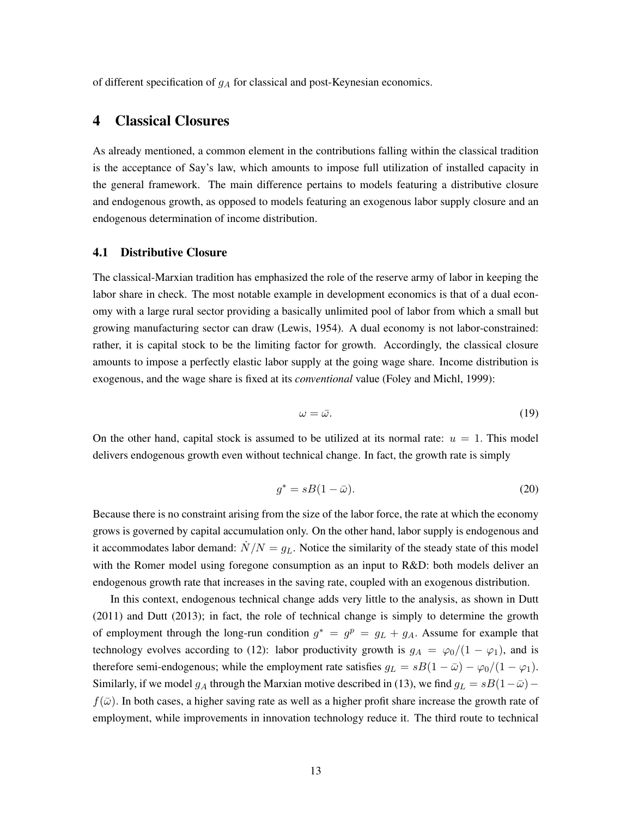of different specification of *g<sup>A</sup>* for classical and post-Keynesian economics.

## <span id="page-13-0"></span>4 Classical Closures

As already mentioned, a common element in the contributions falling within the classical tradition is the acceptance of Say's law, which amounts to impose full utilization of installed capacity in the general framework. The main difference pertains to models featuring a distributive closure and endogenous growth, as opposed to models featuring an exogenous labor supply closure and an endogenous determination of income distribution.

## 4.1 Distributive Closure

The classical-Marxian tradition has emphasized the role of the reserve army of labor in keeping the labor share in check. The most notable example in development economics is that of a dual economy with a large rural sector providing a basically unlimited pool of labor from which a small but growing manufacturing sector can draw [\(Lewis, 1954\)](#page-34-10). A dual economy is not labor-constrained: rather, it is capital stock to be the limiting factor for growth. Accordingly, the classical closure amounts to impose a perfectly elastic labor supply at the going wage share. Income distribution is exogenous, and the wage share is fixed at its *conventional* value [\(Foley and Michl, 1999\)](#page-33-5):

<span id="page-13-1"></span>
$$
\omega = \bar{\omega}.\tag{19}
$$

On the other hand, capital stock is assumed to be utilized at its normal rate:  $u = 1$ . This model delivers endogenous growth even without technical change. In fact, the growth rate is simply

$$
g^* = sB(1 - \bar{\omega}).\tag{20}
$$

Because there is no constraint arising from the size of the labor force, the rate at which the economy grows is governed by capital accumulation only. On the other hand, labor supply is endogenous and it accommodates labor demand:  $\dot{N}/N = g<sub>L</sub>$ . Notice the similarity of the steady state of this model with the Romer model using foregone consumption as an input to R&D: both models deliver an endogenous growth rate that increases in the saving rate, coupled with an exogenous distribution.

In this context, endogenous technical change adds very little to the analysis, as shown in [Dutt](#page-33-7) [\(2011\)](#page-33-7) and [Dutt](#page-33-3) [\(2013\)](#page-33-3); in fact, the role of technical change is simply to determine the growth of employment through the long-run condition  $g^* = g^p = g_L + g_A$ . Assume for example that technology evolves according to [\(12\)](#page-10-0): labor productivity growth is  $g_A = \frac{\varphi_0}{1 - \varphi_1}$ , and is therefore semi-endogenous; while the employment rate satisfies  $g_L = sB(1 - \bar{\omega}) - \varphi_0/(1 - \varphi_1)$ . Similarly, if we model  $g_A$  through the Marxian motive described in [\(13\)](#page-10-1), we find  $g_L = sB(1-\bar{\omega})$  $f(\bar{\omega})$ . In both cases, a higher saving rate as well as a higher profit share increase the growth rate of employment, while improvements in innovation technology reduce it. The third route to technical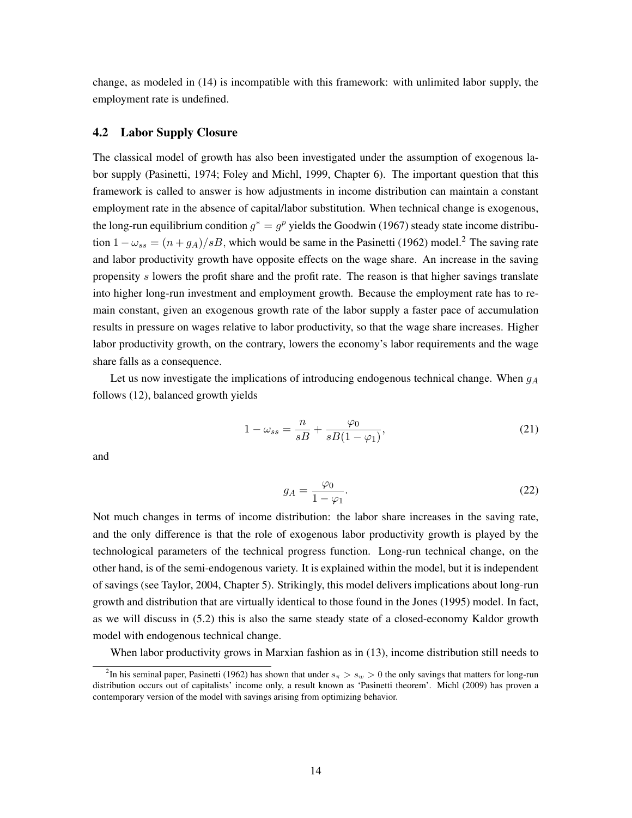change, as modeled in [\(14\)](#page-11-0) is incompatible with this framework: with unlimited labor supply, the employment rate is undefined.

#### 4.2 Labor Supply Closure

The classical model of growth has also been investigated under the assumption of exogenous labor supply [\(Pasinetti, 1974;](#page-35-4) [Foley and Michl, 1999,](#page-33-5) Chapter 6). The important question that this framework is called to answer is how adjustments in income distribution can maintain a constant employment rate in the absence of capital/labor substitution. When technical change is exogenous, the long-run equilibrium condition  $q^* = q^p$  yields the [Goodwin](#page-33-8) [\(1967\)](#page-33-8) steady state income distribution  $1 - \omega_{ss} = (n + g_A)/sB$ , which would be same in the [Pasinetti](#page-35-5) [\(1962\)](#page-35-5) model.<sup>2</sup> The saving rate and labor productivity growth have opposite effects on the wage share. An increase in the saving propensity *s* lowers the profit share and the profit rate. The reason is that higher savings translate into higher long-run investment and employment growth. Because the employment rate has to remain constant, given an exogenous growth rate of the labor supply a faster pace of accumulation results in pressure on wages relative to labor productivity, so that the wage share increases. Higher labor productivity growth, on the contrary, lowers the economy's labor requirements and the wage share falls as a consequence.

Let us now investigate the implications of introducing endogenous technical change. When *g<sup>A</sup>* follows [\(12\)](#page-10-0), balanced growth yields

<span id="page-14-1"></span>
$$
1 - \omega_{ss} = \frac{n}{sB} + \frac{\varphi_0}{sB(1 - \varphi_1)},\tag{21}
$$

and

<span id="page-14-2"></span>
$$
g_A = \frac{\varphi_0}{1 - \varphi_1}.\tag{22}
$$

Not much changes in terms of income distribution: the labor share increases in the saving rate, and the only difference is that the role of exogenous labor productivity growth is played by the technological parameters of the technical progress function. Long-run technical change, on the other hand, is of the semi-endogenous variety. It is explained within the model, but it is independent of savings (see [Taylor, 2004,](#page-37-8) Chapter 5). Strikingly, this model delivers implications about long-run growth and distribution that are virtually identical to those found in the [Jones](#page-34-7) [\(1995\)](#page-34-7) model. In fact, as we will discuss in [\(5.2\)](#page-22-0) this is also the same steady state of a closed-economy Kaldor growth model with endogenous technical change.

When labor productivity grows in Marxian fashion as in [\(13\)](#page-10-1), income distribution still needs to

<span id="page-14-0"></span><sup>&</sup>lt;sup>2</sup>In his seminal paper, [Pasinetti](#page-35-5) [\(1962\)](#page-35-5) has shown that under  $s_\pi > s_w > 0$  the only savings that matters for long-run distribution occurs out of capitalists' income only, a result known as 'Pasinetti theorem'. [Michl](#page-35-6) [\(2009\)](#page-35-6) has proven a contemporary version of the model with savings arising from optimizing behavior.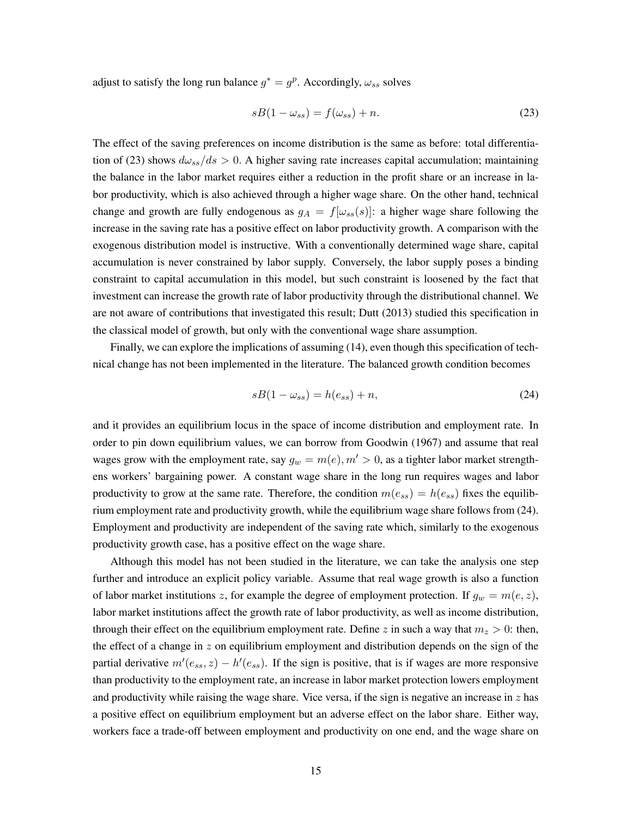adjust to satisfy the long run balance  $g^* = g^p$ . Accordingly,  $\omega_{ss}$  solves

<span id="page-15-0"></span>
$$
sB(1 - \omega_{ss}) = f(\omega_{ss}) + n. \tag{23}
$$

The effect of the saving preferences on income distribution is the same as before: total differentia-tion of [\(23\)](#page-15-0) shows  $d\omega_{ss}/ds > 0$ . A higher saving rate increases capital accumulation; maintaining the balance in the labor market requires either a reduction in the profit share or an increase in labor productivity, which is also achieved through a higher wage share. On the other hand, technical change and growth are fully endogenous as  $g_A = f[\omega_{ss}(s)]$ : a higher wage share following the increase in the saving rate has a positive effect on labor productivity growth. A comparison with the exogenous distribution model is instructive. With a conventionally determined wage share, capital accumulation is never constrained by labor supply. Conversely, the labor supply poses a binding constraint to capital accumulation in this model, but such constraint is loosened by the fact that investment can increase the growth rate of labor productivity through the distributional channel. We are not aware of contributions that investigated this result; [Dutt](#page-33-3) [\(2013\)](#page-33-3) studied this specification in the classical model of growth, but only with the conventional wage share assumption.

Finally, we can explore the implications of assuming [\(14\)](#page-11-0), even though this specification of technical change has not been implemented in the literature. The balanced growth condition becomes

<span id="page-15-1"></span>
$$
sB(1 - \omega_{ss}) = h(e_{ss}) + n,\tag{24}
$$

and it provides an equilibrium locus in the space of income distribution and employment rate. In order to pin down equilibrium values, we can borrow from [Goodwin](#page-33-8) [\(1967\)](#page-33-8) and assume that real wages grow with the employment rate, say  $g_w = m(e), m' > 0$ , as a tighter labor market strengthens workers' bargaining power. A constant wage share in the long run requires wages and labor productivity to grow at the same rate. Therefore, the condition  $m(e_{ss}) = h(e_{ss})$  fixes the equilibrium employment rate and productivity growth, while the equilibrium wage share follows from [\(24\)](#page-15-1). Employment and productivity are independent of the saving rate which, similarly to the exogenous productivity growth case, has a positive effect on the wage share.

Although this model has not been studied in the literature, we can take the analysis one step further and introduce an explicit policy variable. Assume that real wage growth is also a function of labor market institutions *z*, for example the degree of employment protection. If  $g_w = m(e, z)$ , labor market institutions affect the growth rate of labor productivity, as well as income distribution, through their effect on the equilibrium employment rate. Define *z* in such a way that  $m_z > 0$ : then, the effect of a change in *z* on equilibrium employment and distribution depends on the sign of the partial derivative  $m'(e_{ss}, z) - h'(e_{ss})$ . If the sign is positive, that is if wages are more responsive than productivity to the employment rate, an increase in labor market protection lowers employment and productivity while raising the wage share. Vice versa, if the sign is negative an increase in *z* has a positive effect on equilibrium employment but an adverse effect on the labor share. Either way, workers face a trade-off between employment and productivity on one end, and the wage share on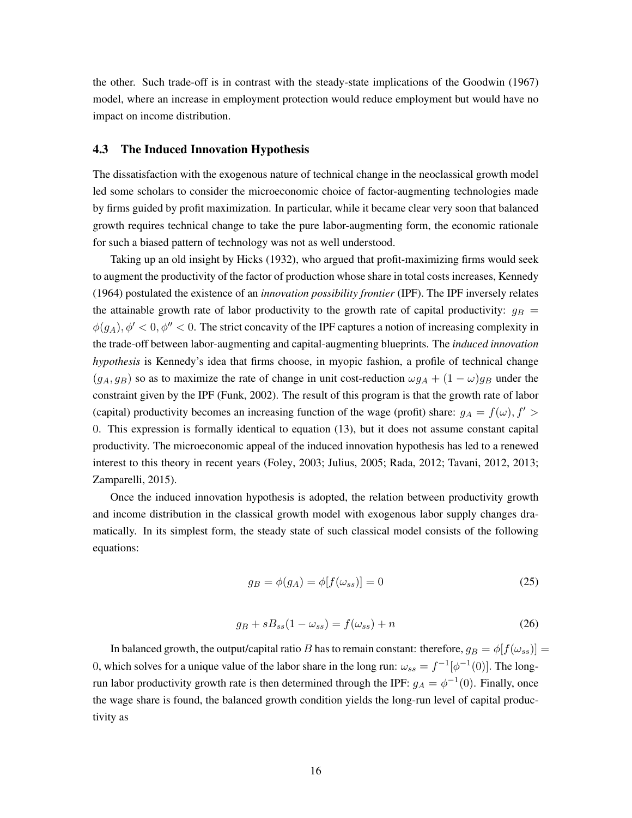the other. Such trade-off is in contrast with the steady-state implications of the [Goodwin](#page-33-8) [\(1967\)](#page-33-8) model, where an increase in employment protection would reduce employment but would have no impact on income distribution.

### <span id="page-16-0"></span>4.3 The Induced Innovation Hypothesis

The dissatisfaction with the exogenous nature of technical change in the neoclassical growth model led some scholars to consider the microeconomic choice of factor-augmenting technologies made by firms guided by profit maximization. In particular, while it became clear very soon that balanced growth requires technical change to take the pure labor-augmenting form, the economic rationale for such a biased pattern of technology was not as well understood.

Taking up an old insight by [Hicks](#page-33-9) [\(1932\)](#page-33-9), who argued that profit-maximizing firms would seek to augment the productivity of the factor of production whose share in total costs increases, [Kennedy](#page-34-4) [\(1964\)](#page-34-4) postulated the existence of an *innovation possibility frontier* (IPF). The IPF inversely relates the attainable growth rate of labor productivity to the growth rate of capital productivity:  $g_B =$  $\phi(g_A), \phi' < 0, \phi'' < 0$ . The strict concavity of the IPF captures a notion of increasing complexity in the trade-off between labor-augmenting and capital-augmenting blueprints. The *induced innovation hypothesis* is Kennedy's idea that firms choose, in myopic fashion, a profile of technical change  $(g_A, g_B)$  so as to maximize the rate of change in unit cost-reduction  $\omega g_A + (1 - \omega) g_B$  under the constraint given by the IPF [\(Funk, 2002\)](#page-33-10). The result of this program is that the growth rate of labor (capital) productivity becomes an increasing function of the wage (profit) share:  $g_A = f(\omega)$ ,  $f' >$ 0. This expression is formally identical to equation [\(13\)](#page-10-1), but it does not assume constant capital productivity. The microeconomic appeal of the induced innovation hypothesis has led to a renewed interest to this theory in recent years [\(Foley, 2003;](#page-33-11) [Julius, 2005;](#page-34-11) [Rada, 2012;](#page-35-7) [Tavani, 2012,](#page-37-9) [2013;](#page-37-10) [Zamparelli, 2015\)](#page-37-11).

Once the induced innovation hypothesis is adopted, the relation between productivity growth and income distribution in the classical growth model with exogenous labor supply changes dramatically. In its simplest form, the steady state of such classical model consists of the following equations:

<span id="page-16-2"></span>
$$
g_B = \phi(g_A) = \phi[f(\omega_{ss})] = 0 \tag{25}
$$

<span id="page-16-1"></span>
$$
g_B + sB_{ss}(1 - \omega_{ss}) = f(\omega_{ss}) + n \tag{26}
$$

In balanced growth, the output/capital ratio *B* has to remain constant: therefore,  $g_B = \phi[f(\omega_{ss})] =$ 0, which solves for a unique value of the labor share in the long run:  $\omega_{ss} = f^{-1}[\phi^{-1}(0)]$ . The longrun labor productivity growth rate is then determined through the IPF:  $g_A = \phi^{-1}(0)$ . Finally, once the wage share is found, the balanced growth condition yields the long-run level of capital productivity as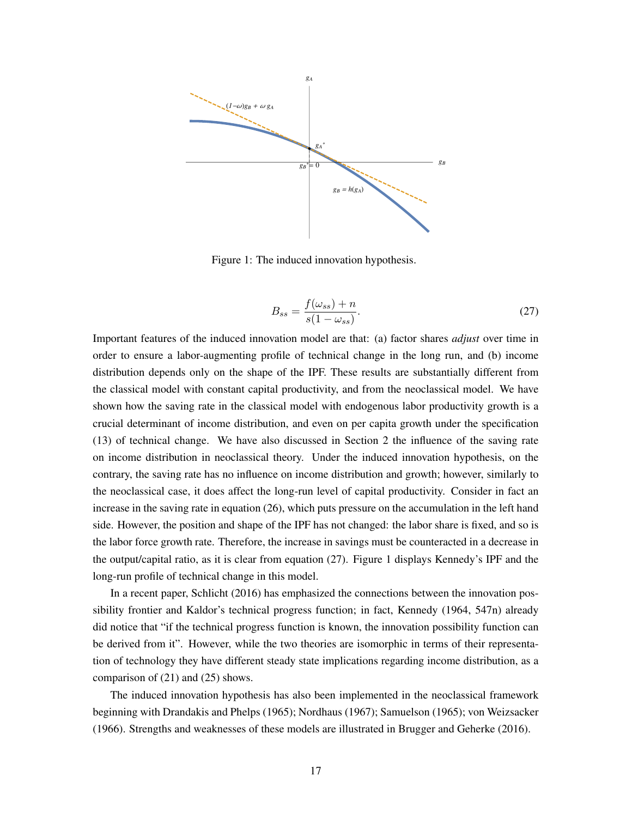

<span id="page-17-1"></span>Figure 1: The induced innovation hypothesis.

<span id="page-17-0"></span>
$$
B_{ss} = \frac{f(\omega_{ss}) + n}{s(1 - \omega_{ss})}.
$$
\n(27)

Important features of the induced innovation model are that: (a) factor shares *adjust* over time in order to ensure a labor-augmenting profile of technical change in the long run, and (b) income distribution depends only on the shape of the IPF. These results are substantially different from the classical model with constant capital productivity, and from the neoclassical model. We have shown how the saving rate in the classical model with endogenous labor productivity growth is a crucial determinant of income distribution, and even on per capita growth under the specification [\(13\)](#page-10-1) of technical change. We have also discussed in Section [2](#page-3-0) the influence of the saving rate on income distribution in neoclassical theory. Under the induced innovation hypothesis, on the contrary, the saving rate has no influence on income distribution and growth; however, similarly to the neoclassical case, it does affect the long-run level of capital productivity. Consider in fact an increase in the saving rate in equation [\(26\)](#page-16-1), which puts pressure on the accumulation in the left hand side. However, the position and shape of the IPF has not changed: the labor share is fixed, and so is the labor force growth rate. Therefore, the increase in savings must be counteracted in a decrease in the output/capital ratio, as it is clear from equation [\(27\)](#page-17-0). Figure [1](#page-17-1) displays Kennedy's IPF and the long-run profile of technical change in this model.

In a recent paper, [Schlicht](#page-36-6) [\(2016\)](#page-36-6) has emphasized the connections between the innovation possibility frontier and Kaldor's technical progress function; in fact, [Kennedy](#page-34-4) [\(1964,](#page-34-4) 547n) already did notice that "if the technical progress function is known, the innovation possibility function can be derived from it". However, while the two theories are isomorphic in terms of their representation of technology they have different steady state implications regarding income distribution, as a comparison of [\(21\)](#page-14-1) and [\(25\)](#page-16-2) shows.

The induced innovation hypothesis has also been implemented in the neoclassical framework beginning with [Drandakis and Phelps](#page-32-4) [\(1965\)](#page-32-4); [Nordhaus](#page-35-8) [\(1967\)](#page-35-8); [Samuelson](#page-36-7) [\(1965\)](#page-36-7); [von Weizsacker](#page-37-12) [\(1966\)](#page-37-12). Strengths and weaknesses of these models are illustrated in [Brugger and Geherke](#page-32-5) [\(2016\)](#page-32-5).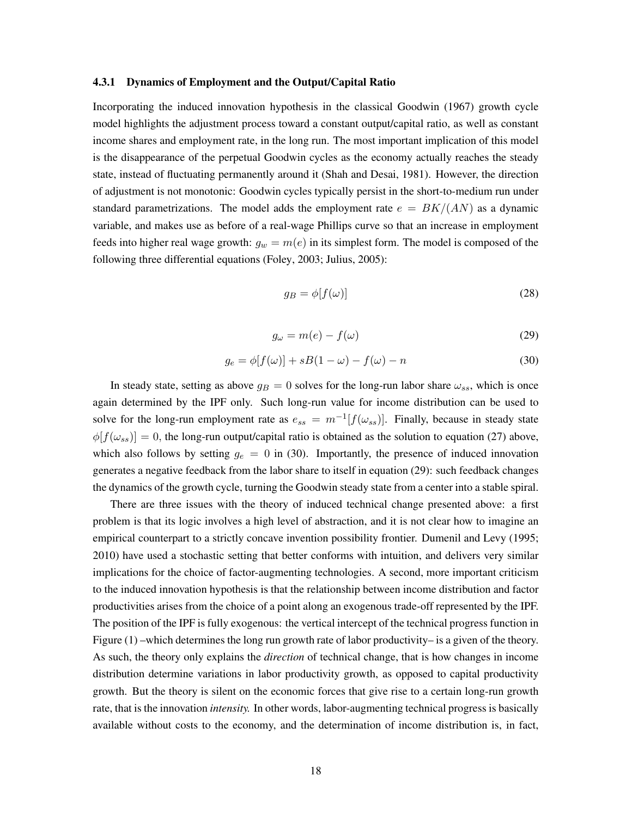#### <span id="page-18-0"></span>4.3.1 Dynamics of Employment and the Output/Capital Ratio

Incorporating the induced innovation hypothesis in the classical [Goodwin](#page-33-8) [\(1967\)](#page-33-8) growth cycle model highlights the adjustment process toward a constant output/capital ratio, as well as constant income shares and employment rate, in the long run. The most important implication of this model is the disappearance of the perpetual Goodwin cycles as the economy actually reaches the steady state, instead of fluctuating permanently around it [\(Shah and Desai, 1981\)](#page-36-8). However, the direction of adjustment is not monotonic: Goodwin cycles typically persist in the short-to-medium run under standard parametrizations. The model adds the employment rate  $e = BK/(AN)$  as a dynamic variable, and makes use as before of a real-wage Phillips curve so that an increase in employment feeds into higher real wage growth:  $g_w = m(e)$  in its simplest form. The model is composed of the following three differential equations [\(Foley, 2003;](#page-33-11) [Julius, 2005\)](#page-34-11):

$$
g_B = \phi[f(\omega)] \tag{28}
$$

<span id="page-18-2"></span>
$$
g_{\omega} = m(e) - f(\omega) \tag{29}
$$

<span id="page-18-1"></span>
$$
g_e = \phi[f(\omega)] + sB(1 - \omega) - f(\omega) - n \tag{30}
$$

In steady state, setting as above  $g_B = 0$  solves for the long-run labor share  $\omega_{ss}$ , which is once again determined by the IPF only. Such long-run value for income distribution can be used to solve for the long-run employment rate as  $e_{ss} = m^{-1}[f(\omega_{ss})]$ . Finally, because in steady state  $\phi[f(\omega_{ss})] = 0$ , the long-run output/capital ratio is obtained as the solution to equation [\(27\)](#page-17-0) above, which also follows by setting  $g_e = 0$  in [\(30\)](#page-18-1). Importantly, the presence of induced innovation generates a negative feedback from the labor share to itself in equation [\(29\)](#page-18-2): such feedback changes the dynamics of the growth cycle, turning the Goodwin steady state from a center into a stable spiral.

There are three issues with the theory of induced technical change presented above: a first problem is that its logic involves a high level of abstraction, and it is not clear how to imagine an empirical counterpart to a strictly concave invention possibility frontier. Dumenil and Levy [\(1995;](#page-32-6) [2010\)](#page-32-7) have used a stochastic setting that better conforms with intuition, and delivers very similar implications for the choice of factor-augmenting technologies. A second, more important criticism to the induced innovation hypothesis is that the relationship between income distribution and factor productivities arises from the choice of a point along an exogenous trade-off represented by the IPF. The position of the IPF is fully exogenous: the vertical intercept of the technical progress function in Figure [\(1\)](#page-17-1) –which determines the long run growth rate of labor productivity– is a given of the theory. As such, the theory only explains the *direction* of technical change, that is how changes in income distribution determine variations in labor productivity growth, as opposed to capital productivity growth. But the theory is silent on the economic forces that give rise to a certain long-run growth rate, that is the innovation *intensity.* In other words, labor-augmenting technical progress is basically available without costs to the economy, and the determination of income distribution is, in fact,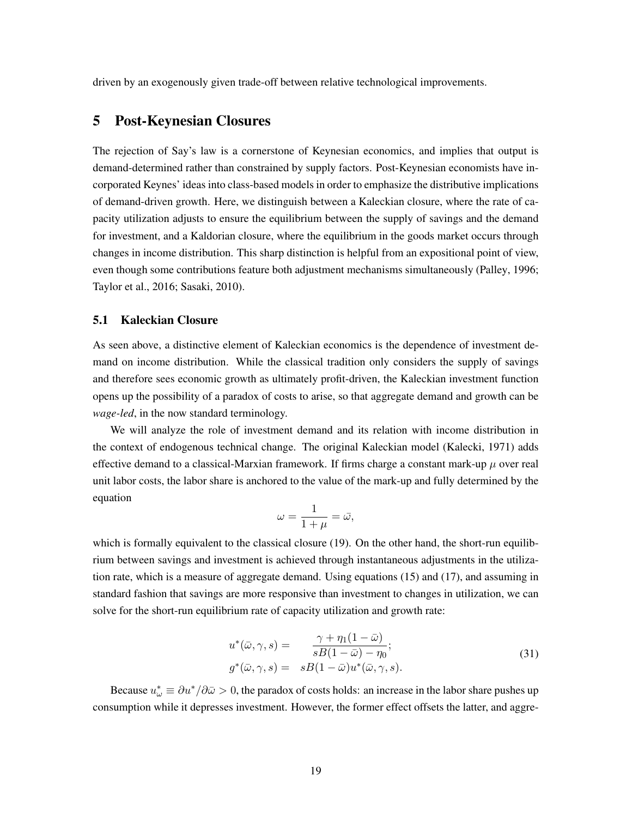driven by an exogenously given trade-off between relative technological improvements.

## <span id="page-19-0"></span>5 Post-Keynesian Closures

The rejection of Say's law is a cornerstone of Keynesian economics, and implies that output is demand-determined rather than constrained by supply factors. Post-Keynesian economists have incorporated Keynes' ideas into class-based models in order to emphasize the distributive implications of demand-driven growth. Here, we distinguish between a Kaleckian closure, where the rate of capacity utilization adjusts to ensure the equilibrium between the supply of savings and the demand for investment, and a Kaldorian closure, where the equilibrium in the goods market occurs through changes in income distribution. This sharp distinction is helpful from an expositional point of view, even though some contributions feature both adjustment mechanisms simultaneously [\(Palley, 1996;](#page-35-9) [Taylor et al., 2016;](#page-37-13) [Sasaki, 2010\)](#page-36-3).

## <span id="page-19-1"></span>5.1 Kaleckian Closure

As seen above, a distinctive element of Kaleckian economics is the dependence of investment demand on income distribution. While the classical tradition only considers the supply of savings and therefore sees economic growth as ultimately profit-driven, the Kaleckian investment function opens up the possibility of a paradox of costs to arise, so that aggregate demand and growth can be *wage-led*, in the now standard terminology.

We will analyze the role of investment demand and its relation with income distribution in the context of endogenous technical change. The original Kaleckian model [\(Kalecki, 1971\)](#page-34-12) adds effective demand to a classical-Marxian framework. If firms charge a constant mark-up  $\mu$  over real unit labor costs, the labor share is anchored to the value of the mark-up and fully determined by the equation

$$
\omega = \frac{1}{1+\mu} = \bar{\omega},
$$

which is formally equivalent to the classical closure [\(19\)](#page-13-1). On the other hand, the short-run equilibrium between savings and investment is achieved through instantaneous adjustments in the utilization rate, which is a measure of aggregate demand. Using equations [\(15\)](#page-11-2) and [\(17\)](#page-12-1), and assuming in standard fashion that savings are more responsive than investment to changes in utilization, we can solve for the short-run equilibrium rate of capacity utilization and growth rate:

$$
u^*(\bar{\omega}, \gamma, s) = \frac{\gamma + \eta_1(1 - \bar{\omega})}{sB(1 - \bar{\omega}) - \eta_0};
$$
  
\n
$$
g^*(\bar{\omega}, \gamma, s) = sB(1 - \bar{\omega})u^*(\bar{\omega}, \gamma, s).
$$
\n(31)

Because  $u^*_{\omega} \equiv \partial u^*/\partial \bar{\omega} > 0$ , the paradox of costs holds: an increase in the labor share pushes up consumption while it depresses investment. However, the former effect offsets the latter, and aggre-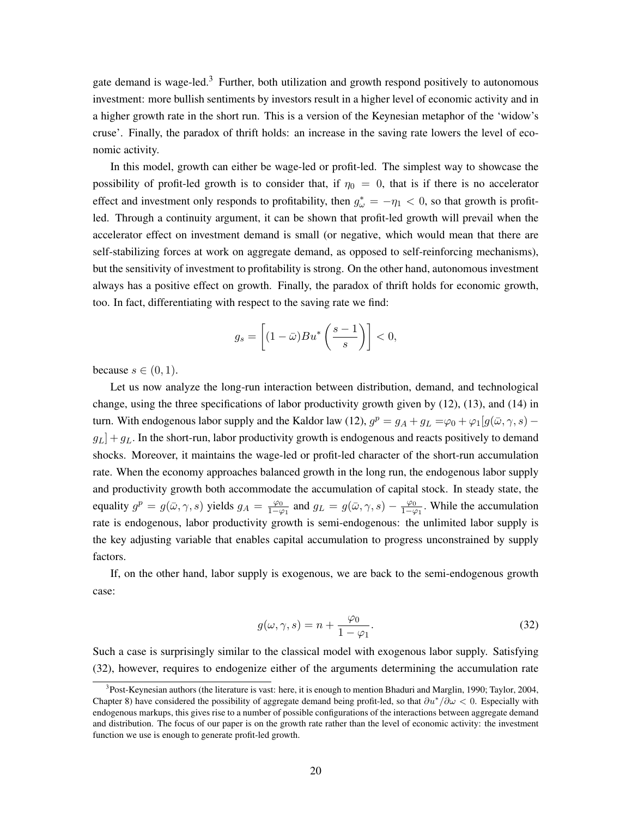gate demand is wage-led.<sup>[3](#page-20-0)</sup> Further, both utilization and growth respond positively to autonomous investment: more bullish sentiments by investors result in a higher level of economic activity and in a higher growth rate in the short run. This is a version of the Keynesian metaphor of the 'widow's cruse'. Finally, the paradox of thrift holds: an increase in the saving rate lowers the level of economic activity.

In this model, growth can either be wage-led or profit-led. The simplest way to showcase the possibility of profit-led growth is to consider that, if  $\eta_0 = 0$ , that is if there is no accelerator effect and investment only responds to profitability, then  $g^*_{\omega} = -\eta_1 < 0$ , so that growth is profitled. Through a continuity argument, it can be shown that profit-led growth will prevail when the accelerator effect on investment demand is small (or negative, which would mean that there are self-stabilizing forces at work on aggregate demand, as opposed to self-reinforcing mechanisms), but the sensitivity of investment to profitability is strong. On the other hand, autonomous investment always has a positive effect on growth. Finally, the paradox of thrift holds for economic growth, too. In fact, differentiating with respect to the saving rate we find:

$$
g_s = \left[ (1 - \bar{\omega}) B u^* \left( \frac{s - 1}{s} \right) \right] < 0,
$$

because  $s \in (0, 1)$ .

Let us now analyze the long-run interaction between distribution, demand, and technological change, using the three specifications of labor productivity growth given by [\(12\)](#page-10-0), [\(13\)](#page-10-1), and [\(14\)](#page-11-0) in turn. With endogenous labor supply and the Kaldor law [\(12\)](#page-10-0),  $g^p = g_A + g_L = \varphi_0 + \varphi_1[g(\bar{\omega}, \gamma, s)$  $g_L$  +  $g_L$ . In the short-run, labor productivity growth is endogenous and reacts positively to demand shocks. Moreover, it maintains the wage-led or profit-led character of the short-run accumulation rate. When the economy approaches balanced growth in the long run, the endogenous labor supply and productivity growth both accommodate the accumulation of capital stock. In steady state, the equality  $g^p = g(\bar{\omega}, \gamma, s)$  yields  $g_A = \frac{\varphi_0}{1 - \varphi_1}$  and  $g_L = g(\bar{\omega}, \gamma, s) - \frac{\varphi_0}{1 - \varphi_1}$ . While the accumulation rate is endogenous, labor productivity growth is semi-endogenous: the unlimited labor supply is the key adjusting variable that enables capital accumulation to progress unconstrained by supply factors.

If, on the other hand, labor supply is exogenous, we are back to the semi-endogenous growth case:

<span id="page-20-1"></span>
$$
g(\omega, \gamma, s) = n + \frac{\varphi_0}{1 - \varphi_1}.\tag{32}
$$

Such a case is surprisingly similar to the classical model with exogenous labor supply. Satisfying [\(32\)](#page-20-1), however, requires to endogenize either of the arguments determining the accumulation rate

<span id="page-20-0"></span><sup>&</sup>lt;sup>3</sup>Post-Keynesian authors (the literature is vast: here, it is enough to mention [Bhaduri and Marglin, 1990;](#page-32-3) [Taylor, 2004,](#page-37-8) Chapter 8) have considered the possibility of aggregate demand being profit-led, so that  $\partial u^*/\partial \omega < 0$ . Especially with endogenous markups, this gives rise to a number of possible configurations of the interactions between aggregate demand and distribution. The focus of our paper is on the growth rate rather than the level of economic activity: the investment function we use is enough to generate profit-led growth.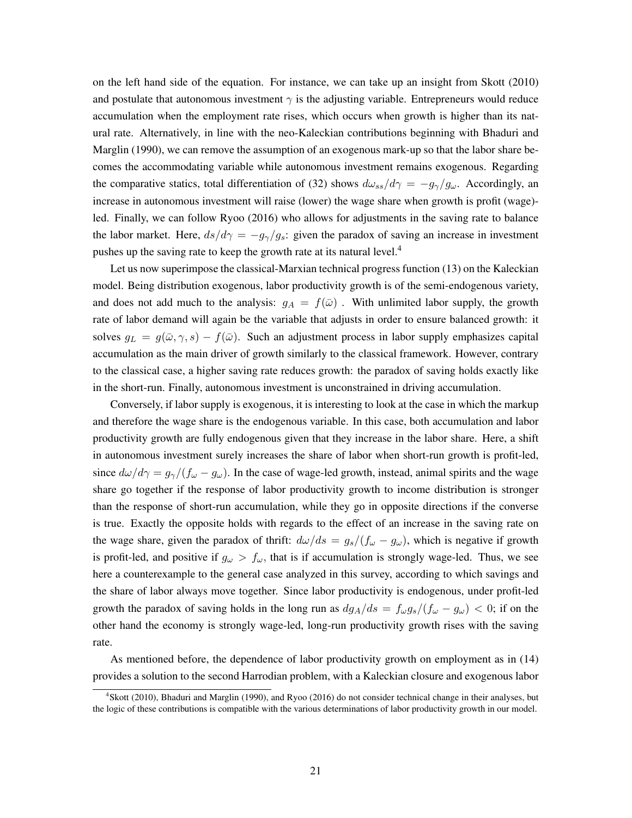on the left hand side of the equation. For instance, we can take up an insight from [Skott](#page-36-9) [\(2010\)](#page-36-9) and postulate that autonomous investment  $\gamma$  is the adjusting variable. Entrepreneurs would reduce accumulation when the employment rate rises, which occurs when growth is higher than its natural rate. Alternatively, in line with the neo-Kaleckian contributions beginning with [Bhaduri and](#page-32-3) [Marglin](#page-32-3) [\(1990\)](#page-32-3), we can remove the assumption of an exogenous mark-up so that the labor share becomes the accommodating variable while autonomous investment remains exogenous. Regarding the comparative statics, total differentiation of [\(32\)](#page-20-1) shows  $d\omega_{ss}/d\gamma = -g_{\gamma}/g_{\omega}$ . Accordingly, an increase in autonomous investment will raise (lower) the wage share when growth is profit (wage) led. Finally, we can follow [Ryoo](#page-36-10) [\(2016\)](#page-36-10) who allows for adjustments in the saving rate to balance the labor market. Here,  $ds/d\gamma = -g_{\gamma}/g_s$ : given the paradox of saving an increase in investment pushes up the saving rate to keep the growth rate at its natural level.<sup>4</sup>

Let us now superimpose the classical-Marxian technical progress function [\(13\)](#page-10-1) on the Kaleckian model. Being distribution exogenous, labor productivity growth is of the semi-endogenous variety, and does not add much to the analysis:  $g_A = f(\bar{\omega})$ . With unlimited labor supply, the growth rate of labor demand will again be the variable that adjusts in order to ensure balanced growth: it solves  $q_L = g(\bar{\omega}, \gamma, s) - f(\bar{\omega})$ . Such an adjustment process in labor supply emphasizes capital accumulation as the main driver of growth similarly to the classical framework. However, contrary to the classical case, a higher saving rate reduces growth: the paradox of saving holds exactly like in the short-run. Finally, autonomous investment is unconstrained in driving accumulation.

Conversely, if labor supply is exogenous, it is interesting to look at the case in which the markup and therefore the wage share is the endogenous variable. In this case, both accumulation and labor productivity growth are fully endogenous given that they increase in the labor share. Here, a shift in autonomous investment surely increases the share of labor when short-run growth is profit-led, since  $d\omega/d\gamma = g_{\gamma}/(f_{\omega} - g_{\omega})$ . In the case of wage-led growth, instead, animal spirits and the wage share go together if the response of labor productivity growth to income distribution is stronger than the response of short-run accumulation, while they go in opposite directions if the converse is true. Exactly the opposite holds with regards to the effect of an increase in the saving rate on the wage share, given the paradox of thrift:  $d\omega/ds = g_s/(f_\omega - g_\omega)$ , which is negative if growth is profit-led, and positive if  $g_{\omega} > f_{\omega}$ , that is if accumulation is strongly wage-led. Thus, we see here a counterexample to the general case analyzed in this survey, according to which savings and the share of labor always move together. Since labor productivity is endogenous, under profit-led growth the paradox of saving holds in the long run as  $dg_A/ds = f_{\omega}g_s/(f_{\omega} - g_{\omega}) < 0$ ; if on the other hand the economy is strongly wage-led, long-run productivity growth rises with the saving rate.

As mentioned before, the dependence of labor productivity growth on employment as in [\(14\)](#page-11-0) provides a solution to the second Harrodian problem, with a Kaleckian closure and exogenous labor

<span id="page-21-0"></span><sup>4</sup> [Skott](#page-36-9) [\(2010\)](#page-36-9), [Bhaduri and Marglin](#page-32-3) [\(1990\)](#page-32-3), and [Ryoo](#page-36-10) [\(2016\)](#page-36-10) do not consider technical change in their analyses, but the logic of these contributions is compatible with the various determinations of labor productivity growth in our model.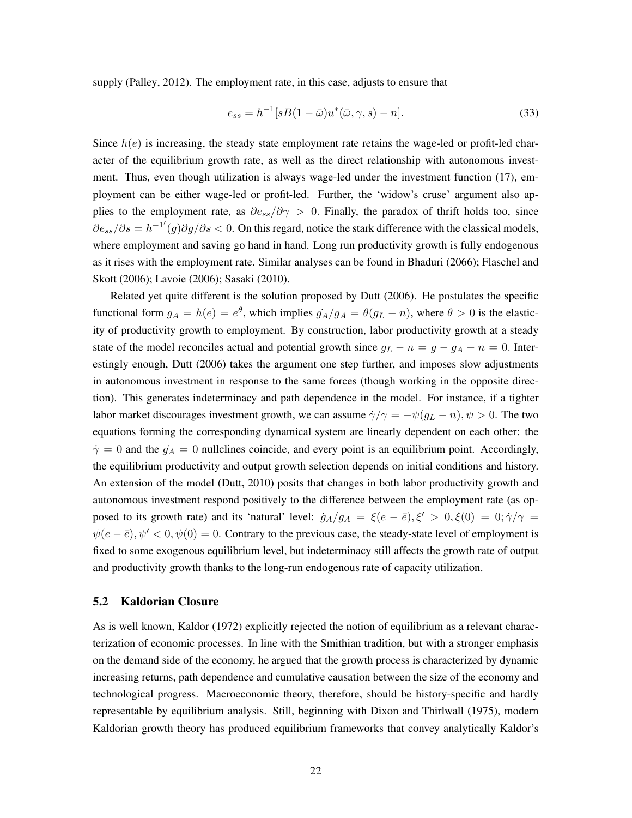supply [\(Palley, 2012\)](#page-35-3). The employment rate, in this case, adjusts to ensure that

<span id="page-22-1"></span>
$$
e_{ss} = h^{-1}[sB(1 - \bar{\omega})u^*(\bar{\omega}, \gamma, s) - n].
$$
\n(33)

Since  $h(e)$  is increasing, the steady state employment rate retains the wage-led or profit-led character of the equilibrium growth rate, as well as the direct relationship with autonomous investment. Thus, even though utilization is always wage-led under the investment function [\(17\)](#page-12-1), employment can be either wage-led or profit-led. Further, the 'widow's cruse' argument also applies to the employment rate, as  $\partial e_{ss}/\partial \gamma > 0$ . Finally, the paradox of thrift holds too, since  $\partial e_{ss}/\partial s = h^{-1'}(g)\partial g/\partial s < 0$ . On this regard, notice the stark difference with the classical models, where employment and saving go hand in hand. Long run productivity growth is fully endogenous as it rises with the employment rate. Similar analyses can be found in [Bhaduri](#page-32-8) [\(2066\)](#page-32-8); [Flaschel and](#page-33-12) [Skott](#page-33-12) [\(2006\)](#page-33-12); [Lavoie](#page-34-13) [\(2006\)](#page-34-13); [Sasaki](#page-36-3) [\(2010\)](#page-36-3).

Related yet quite different is the solution proposed by [Dutt](#page-33-4) [\(2006\)](#page-33-4). He postulates the specific functional form  $g_A = h(e) = e^{\theta}$ , which implies  $g_A/g_A = \theta(g_L - n)$ , where  $\theta > 0$  is the elasticity of productivity growth to employment. By construction, labor productivity growth at a steady state of the model reconciles actual and potential growth since  $g_L - n = g - g_A - n = 0$ . Interestingly enough, [Dutt](#page-33-4) [\(2006\)](#page-33-4) takes the argument one step further, and imposes slow adjustments in autonomous investment in response to the same forces (though working in the opposite direction). This generates indeterminacy and path dependence in the model. For instance, if a tighter labor market discourages investment growth, we can assume  $\dot{\gamma}/\gamma = -\psi(g_L - n), \psi > 0$ . The two equations forming the corresponding dynamical system are linearly dependent on each other: the  $\dot{\gamma} = 0$  and the  $\dot{g_A} = 0$  nullclines coincide, and every point is an equilibrium point. Accordingly, the equilibrium productivity and output growth selection depends on initial conditions and history. An extension of the model [\(Dutt, 2010\)](#page-33-13) posits that changes in both labor productivity growth and autonomous investment respond positively to the difference between the employment rate (as opposed to its growth rate) and its 'natural' level:  $\dot{g}_A/g_A = \xi(e - \bar{e}), \xi' > 0, \xi(0) = 0; \dot{\gamma}/\gamma = 0$  $\psi(e - \bar{e}), \psi' < 0, \psi(0) = 0$ . Contrary to the previous case, the steady-state level of employment is fixed to some exogenous equilibrium level, but indeterminacy still affects the growth rate of output and productivity growth thanks to the long-run endogenous rate of capacity utilization.

### <span id="page-22-0"></span>5.2 Kaldorian Closure

As is well known, [Kaldor](#page-34-14) [\(1972\)](#page-34-14) explicitly rejected the notion of equilibrium as a relevant characterization of economic processes. In line with the Smithian tradition, but with a stronger emphasis on the demand side of the economy, he argued that the growth process is characterized by dynamic increasing returns, path dependence and cumulative causation between the size of the economy and technological progress. Macroeconomic theory, therefore, should be history-specific and hardly representable by equilibrium analysis. Still, beginning with [Dixon and Thirlwall](#page-32-9) [\(1975\)](#page-32-9), modern Kaldorian growth theory has produced equilibrium frameworks that convey analytically Kaldor's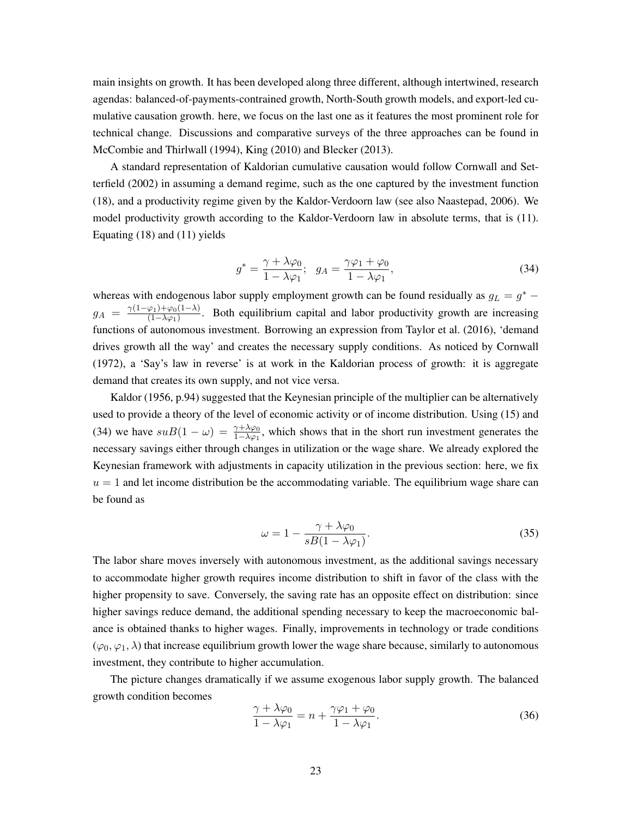main insights on growth. It has been developed along three different, although intertwined, research agendas: balanced-of-payments-contrained growth, North-South growth models, and export-led cumulative causation growth. here, we focus on the last one as it features the most prominent role for technical change. Discussions and comparative surveys of the three approaches can be found in [McCombie and Thirlwall](#page-35-10) [\(1994\)](#page-35-10), [King](#page-34-15) [\(2010\)](#page-34-15) and [Blecker](#page-32-10) [\(2013\)](#page-32-10).

A standard representation of Kaldorian cumulative causation would follow [Cornwall and Set](#page-32-11)[terfield](#page-32-11) [\(2002\)](#page-32-11) in assuming a demand regime, such as the one captured by the investment function [\(18\)](#page-12-0), and a productivity regime given by the Kaldor-Verdoorn law (see also [Naastepad, 2006\)](#page-35-11). We model productivity growth according to the Kaldor-Verdoorn law in absolute terms, that is [\(11\)](#page-10-2). Equating [\(18\)](#page-12-0) and [\(11\)](#page-10-2) yields

<span id="page-23-0"></span>
$$
g^* = \frac{\gamma + \lambda \varphi_0}{1 - \lambda \varphi_1}; \quad g_A = \frac{\gamma \varphi_1 + \varphi_0}{1 - \lambda \varphi_1},\tag{34}
$$

whereas with endogenous labor supply employment growth can be found residually as  $g_L = g^*$  –  $g_A = \frac{\gamma(1-\varphi_1)+\varphi_0(1-\lambda)}{(1-\lambda\varphi_1)}$ . Both equilibrium capital and labor productivity growth are increasing functions of autonomous investment. Borrowing an expression from [Taylor et al.](#page-37-13) [\(2016\)](#page-37-13), 'demand drives growth all the way' and creates the necessary supply conditions. As noticed by [Cornwall](#page-32-12) [\(1972\)](#page-32-12), a 'Say's law in reverse' is at work in the Kaldorian process of growth: it is aggregate demand that creates its own supply, and not vice versa.

[Kaldor](#page-34-16) [\(1956,](#page-34-16) p.94) suggested that the Keynesian principle of the multiplier can be alternatively used to provide a theory of the level of economic activity or of income distribution. Using [\(15\)](#page-11-2) and [\(34\)](#page-23-0) we have  $suB(1 - \omega) = \frac{\gamma + \lambda \varphi_0}{1 - \lambda \varphi_1}$ , which shows that in the short run investment generates the necessary savings either through changes in utilization or the wage share. We already explored the Keynesian framework with adjustments in capacity utilization in the previous section: here, we fix  $u = 1$  and let income distribution be the accommodating variable. The equilibrium wage share can be found as

<span id="page-23-2"></span>
$$
\omega = 1 - \frac{\gamma + \lambda \varphi_0}{sB(1 - \lambda \varphi_1)}.
$$
\n(35)

The labor share moves inversely with autonomous investment, as the additional savings necessary to accommodate higher growth requires income distribution to shift in favor of the class with the higher propensity to save. Conversely, the saving rate has an opposite effect on distribution: since higher savings reduce demand, the additional spending necessary to keep the macroeconomic balance is obtained thanks to higher wages. Finally, improvements in technology or trade conditions  $(\varphi_0, \varphi_1, \lambda)$  that increase equilibrium growth lower the wage share because, similarly to autonomous investment, they contribute to higher accumulation.

The picture changes dramatically if we assume exogenous labor supply growth. The balanced growth condition becomes

<span id="page-23-1"></span>
$$
\frac{\gamma + \lambda \varphi_0}{1 - \lambda \varphi_1} = n + \frac{\gamma \varphi_1 + \varphi_0}{1 - \lambda \varphi_1}.
$$
\n(36)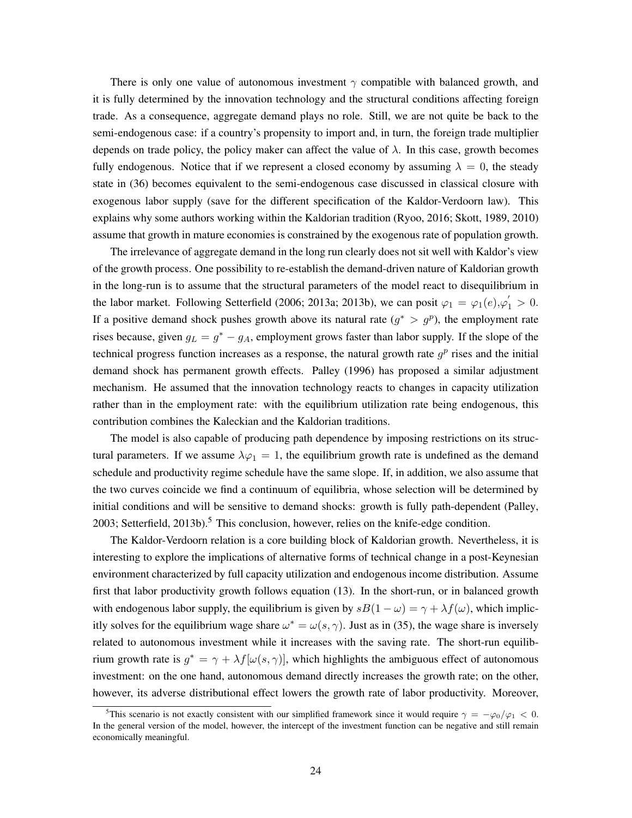There is only one value of autonomous investment  $\gamma$  compatible with balanced growth, and it is fully determined by the innovation technology and the structural conditions affecting foreign trade. As a consequence, aggregate demand plays no role. Still, we are not quite be back to the semi-endogenous case: if a country's propensity to import and, in turn, the foreign trade multiplier depends on trade policy, the policy maker can affect the value of  $\lambda$ . In this case, growth becomes fully endogenous. Notice that if we represent a closed economy by assuming  $\lambda = 0$ , the steady state in [\(36\)](#page-23-1) becomes equivalent to the semi-endogenous case discussed in classical closure with exogenous labor supply (save for the different specification of the Kaldor-Verdoorn law). This explains why some authors working within the Kaldorian tradition [\(Ryoo, 2016;](#page-36-10) [Skott, 1989,](#page-36-11) [2010\)](#page-36-9) assume that growth in mature economies is constrained by the exogenous rate of population growth.

The irrelevance of aggregate demand in the long run clearly does not sit well with Kaldor's view of the growth process. One possibility to re-establish the demand-driven nature of Kaldorian growth in the long-run is to assume that the structural parameters of the model react to disequilibrium in the labor market. Following Setterfield [\(2006;](#page-36-12) [2013a;](#page-36-4) [2013b\)](#page-36-5), we can posit  $\varphi_1 = \varphi_1(e), \varphi_1' > 0$ . If a positive demand shock pushes growth above its natural rate  $(g^* > g^p)$ , the employment rate rises because, given  $g_L = g^* - g_A$ , employment grows faster than labor supply. If the slope of the technical progress function increases as a response, the natural growth rate  $g<sup>p</sup>$  rises and the initial demand shock has permanent growth effects. [Palley](#page-35-9) [\(1996\)](#page-35-9) has proposed a similar adjustment mechanism. He assumed that the innovation technology reacts to changes in capacity utilization rather than in the employment rate: with the equilibrium utilization rate being endogenous, this contribution combines the Kaleckian and the Kaldorian traditions.

The model is also capable of producing path dependence by imposing restrictions on its structural parameters. If we assume  $\lambda \varphi_1 = 1$ , the equilibrium growth rate is undefined as the demand schedule and productivity regime schedule have the same slope. If, in addition, we also assume that the two curves coincide we find a continuum of equilibria, whose selection will be determined by initial conditions and will be sensitive to demand shocks: growth is fully path-dependent [\(Palley,](#page-35-12) [2003;](#page-35-12) [Setterfield, 2013b\)](#page-36-5).<sup>5</sup> This conclusion, however, relies on the knife-edge condition.

The Kaldor-Verdoorn relation is a core building block of Kaldorian growth. Nevertheless, it is interesting to explore the implications of alternative forms of technical change in a post-Keynesian environment characterized by full capacity utilization and endogenous income distribution. Assume first that labor productivity growth follows equation [\(13\)](#page-10-1). In the short-run, or in balanced growth with endogenous labor supply, the equilibrium is given by  $sB(1 - \omega) = \gamma + \lambda f(\omega)$ , which implicitly solves for the equilibrium wage share  $\omega^* = \omega(s, \gamma)$ . Just as in [\(35\)](#page-23-2), the wage share is inversely related to autonomous investment while it increases with the saving rate. The short-run equilibrium growth rate is  $g^* = \gamma + \lambda f[\omega(s, \gamma)]$ , which highlights the ambiguous effect of autonomous investment: on the one hand, autonomous demand directly increases the growth rate; on the other, however, its adverse distributional effect lowers the growth rate of labor productivity. Moreover,

<span id="page-24-0"></span><sup>&</sup>lt;sup>5</sup>This scenario is not exactly consistent with our simplified framework since it would require  $\gamma = -\varphi_0/\varphi_1 < 0$ . In the general version of the model, however, the intercept of the investment function can be negative and still remain economically meaningful.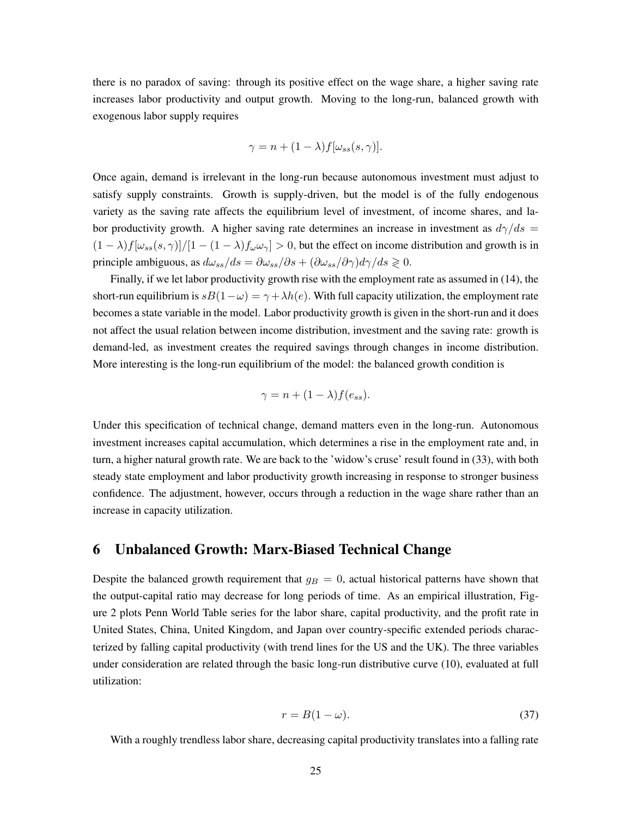there is no paradox of saving: through its positive effect on the wage share, a higher saving rate increases labor productivity and output growth. Moving to the long-run, balanced growth with exogenous labor supply requires

$$
\gamma = n + (1 - \lambda) f[\omega_{ss}(s, \gamma)].
$$

Once again, demand is irrelevant in the long-run because autonomous investment must adjust to satisfy supply constraints. Growth is supply-driven, but the model is of the fully endogenous variety as the saving rate affects the equilibrium level of investment, of income shares, and labor productivity growth. A higher saving rate determines an increase in investment as  $d\gamma/ds =$  $(1 - \lambda)f[\omega_{ss}(s, \gamma)]/[1 - (1 - \lambda)f_{\omega}\omega_{\gamma}] > 0$ , but the effect on income distribution and growth is in principle ambiguous, as  $d\omega_{ss}/ds = \partial \omega_{ss}/\partial s + (\partial \omega_{ss}/\partial \gamma)d\gamma/ds \ge 0$ .

Finally, if we let labor productivity growth rise with the employment rate as assumed in [\(14\)](#page-11-0), the short-run equilibrium is  $sB(1-\omega) = \gamma + \lambda h(e)$ . With full capacity utilization, the employment rate becomes a state variable in the model. Labor productivity growth is given in the short-run and it does not affect the usual relation between income distribution, investment and the saving rate: growth is demand-led, as investment creates the required savings through changes in income distribution. More interesting is the long-run equilibrium of the model: the balanced growth condition is

$$
\gamma = n + (1 - \lambda) f(e_{ss}).
$$

Under this specification of technical change, demand matters even in the long-run. Autonomous investment increases capital accumulation, which determines a rise in the employment rate and, in turn, a higher natural growth rate. We are back to the 'widow's cruse' result found in [\(33\)](#page-22-1), with both steady state employment and labor productivity growth increasing in response to stronger business confidence. The adjustment, however, occurs through a reduction in the wage share rather than an increase in capacity utilization.

## <span id="page-25-0"></span>6 Unbalanced Growth: Marx-Biased Technical Change

Despite the balanced growth requirement that  $g_B = 0$ , actual historical patterns have shown that the output-capital ratio may decrease for long periods of time. As an empirical illustration, Figure [2](#page-26-0) plots Penn World Table series for the labor share, capital productivity, and the profit rate in United States, China, United Kingdom, and Japan over country-specific extended periods characterized by falling capital productivity (with trend lines for the US and the UK). The three variables under consideration are related through the basic long-run distributive curve [\(10\)](#page-9-0), evaluated at full utilization:

$$
r = B(1 - \omega). \tag{37}
$$

With a roughly trendless labor share, decreasing capital productivity translates into a falling rate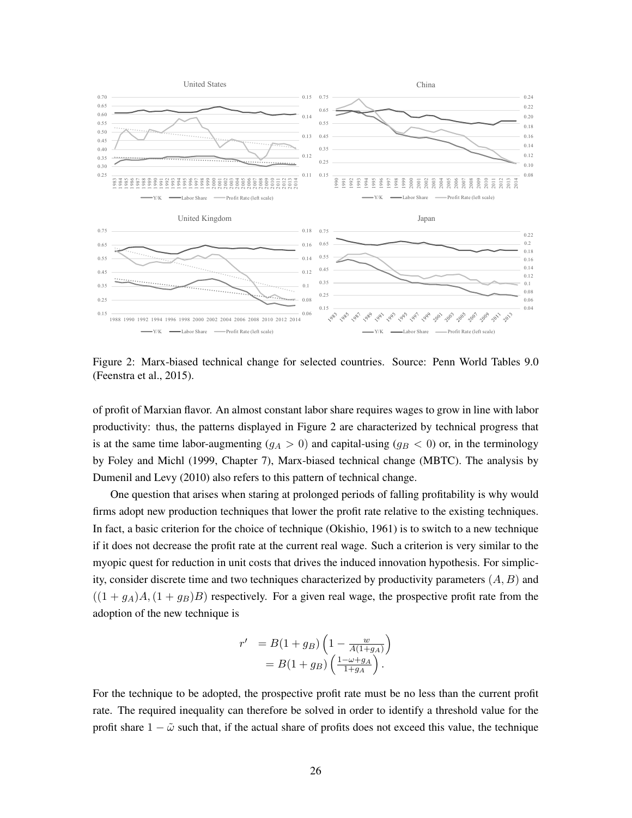

<span id="page-26-0"></span>Figure 2: Marx-biased technical change for selected countries. Source: Penn World Tables 9.0 [\(Feenstra et al., 2015\)](#page-33-14).

of profit of Marxian flavor. An almost constant labor share requires wages to grow in line with labor productivity: thus, the patterns displayed in Figure [2](#page-26-0) are characterized by technical progress that is at the same time labor-augmenting  $(q_A > 0)$  and capital-using  $(q_B < 0)$  or, in the terminology by [Foley and Michl](#page-33-5) [\(1999,](#page-33-5) Chapter 7), Marx-biased technical change (MBTC). The analysis by [Dumenil and Levy](#page-32-7) [\(2010\)](#page-32-7) also refers to this pattern of technical change.

One question that arises when staring at prolonged periods of falling profitability is why would firms adopt new production techniques that lower the profit rate relative to the existing techniques. In fact, a basic criterion for the choice of technique [\(Okishio, 1961\)](#page-35-2) is to switch to a new technique if it does not decrease the profit rate at the current real wage. Such a criterion is very similar to the myopic quest for reduction in unit costs that drives the induced innovation hypothesis. For simplicity, consider discrete time and two techniques characterized by productivity parameters (*A, B*) and  $((1 + g_A)A, (1 + g_B)B)$  respectively. For a given real wage, the prospective profit rate from the adoption of the new technique is

$$
r' = B(1 + g_B) \left( 1 - \frac{w}{A(1 + g_A)} \right)
$$
  
= B(1 + g\_B) \left( \frac{1 - \omega + g\_A}{1 + g\_A} \right).

For the technique to be adopted, the prospective profit rate must be no less than the current profit rate. The required inequality can therefore be solved in order to identify a threshold value for the profit share  $1 - \tilde{\omega}$  such that, if the actual share of profits does not exceed this value, the technique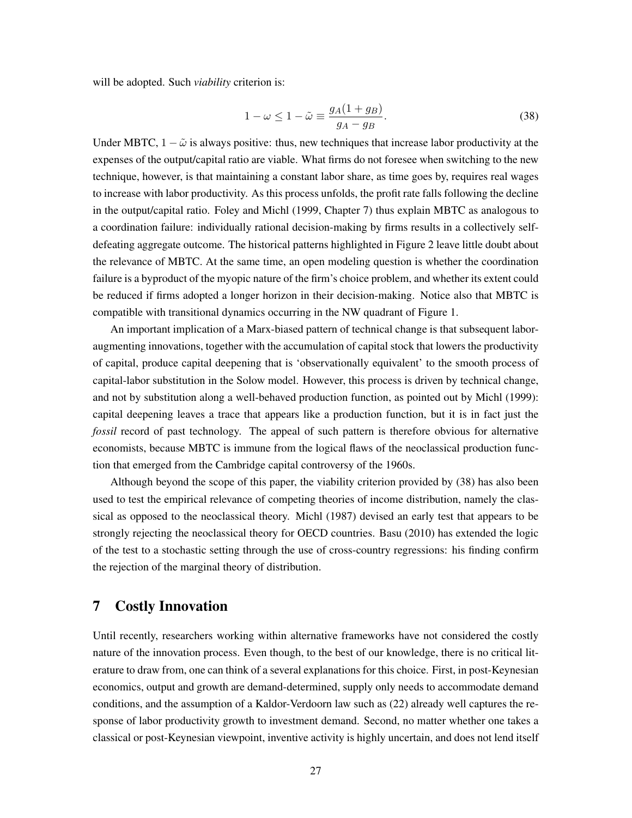will be adopted. Such *viability* criterion is:

<span id="page-27-1"></span>
$$
1 - \omega \le 1 - \tilde{\omega} \equiv \frac{g_A (1 + g_B)}{g_A - g_B}.
$$
\n(38)

Under MBTC,  $1 - \tilde{\omega}$  is always positive: thus, new techniques that increase labor productivity at the expenses of the output/capital ratio are viable. What firms do not foresee when switching to the new technique, however, is that maintaining a constant labor share, as time goes by, requires real wages to increase with labor productivity. As this process unfolds, the profit rate falls following the decline in the output/capital ratio. [Foley and Michl](#page-33-5) [\(1999,](#page-33-5) Chapter 7) thus explain MBTC as analogous to a coordination failure: individually rational decision-making by firms results in a collectively selfdefeating aggregate outcome. The historical patterns highlighted in Figure [2](#page-26-0) leave little doubt about the relevance of MBTC. At the same time, an open modeling question is whether the coordination failure is a byproduct of the myopic nature of the firm's choice problem, and whether its extent could be reduced if firms adopted a longer horizon in their decision-making. Notice also that MBTC is compatible with transitional dynamics occurring in the NW quadrant of Figure [1.](#page-17-1)

An important implication of a Marx-biased pattern of technical change is that subsequent laboraugmenting innovations, together with the accumulation of capital stock that lowers the productivity of capital, produce capital deepening that is 'observationally equivalent' to the smooth process of capital-labor substitution in the Solow model. However, this process is driven by technical change, and not by substitution along a well-behaved production function, as pointed out by [Michl](#page-35-13) [\(1999\)](#page-35-13): capital deepening leaves a trace that appears like a production function, but it is in fact just the *fossil* record of past technology. The appeal of such pattern is therefore obvious for alternative economists, because MBTC is immune from the logical flaws of the neoclassical production function that emerged from the Cambridge capital controversy of the 1960s.

Although beyond the scope of this paper, the viability criterion provided by [\(38\)](#page-27-1) has also been used to test the empirical relevance of competing theories of income distribution, namely the classical as opposed to the neoclassical theory. [Michl](#page-35-14) [\(1987\)](#page-35-14) devised an early test that appears to be strongly rejecting the neoclassical theory for OECD countries. [Basu](#page-32-13) [\(2010\)](#page-32-13) has extended the logic of the test to a stochastic setting through the use of cross-country regressions: his finding confirm the rejection of the marginal theory of distribution.

## <span id="page-27-0"></span>7 Costly Innovation

Until recently, researchers working within alternative frameworks have not considered the costly nature of the innovation process. Even though, to the best of our knowledge, there is no critical literature to draw from, one can think of a several explanations for this choice. First, in post-Keynesian economics, output and growth are demand-determined, supply only needs to accommodate demand conditions, and the assumption of a Kaldor-Verdoorn law such as [\(22\)](#page-14-2) already well captures the response of labor productivity growth to investment demand. Second, no matter whether one takes a classical or post-Keynesian viewpoint, inventive activity is highly uncertain, and does not lend itself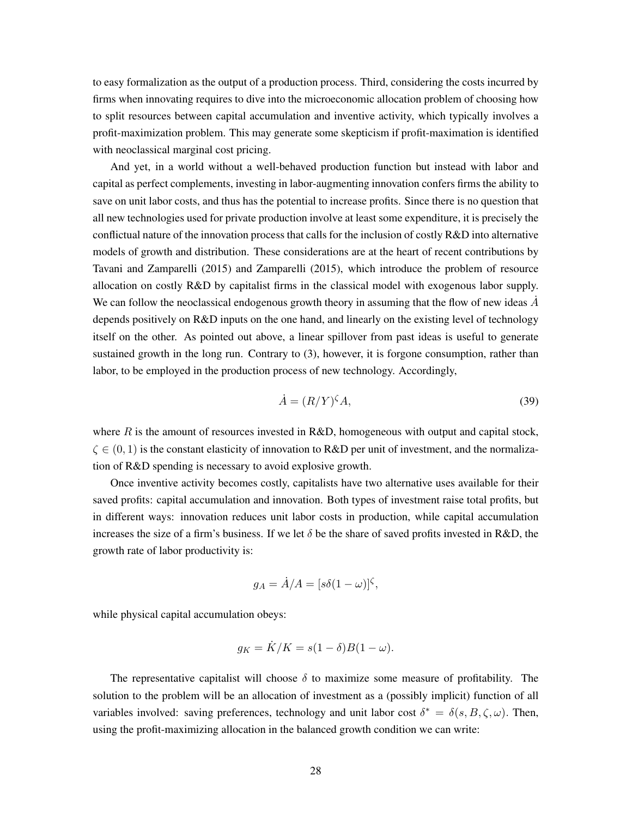to easy formalization as the output of a production process. Third, considering the costs incurred by firms when innovating requires to dive into the microeconomic allocation problem of choosing how to split resources between capital accumulation and inventive activity, which typically involves a profit-maximization problem. This may generate some skepticism if profit-maximation is identified with neoclassical marginal cost pricing.

And yet, in a world without a well-behaved production function but instead with labor and capital as perfect complements, investing in labor-augmenting innovation confers firms the ability to save on unit labor costs, and thus has the potential to increase profits. Since there is no question that all new technologies used for private production involve at least some expenditure, it is precisely the conflictual nature of the innovation process that calls for the inclusion of costly R&D into alternative models of growth and distribution. These considerations are at the heart of recent contributions by [Tavani and Zamparelli](#page-37-14) [\(2015\)](#page-37-14) and [Zamparelli](#page-37-11) [\(2015\)](#page-37-11), which introduce the problem of resource allocation on costly R&D by capitalist firms in the classical model with exogenous labor supply. We can follow the neoclassical endogenous growth theory in assuming that the flow of new ideas  $\dot{A}$ depends positively on R&D inputs on the one hand, and linearly on the existing level of technology itself on the other. As pointed out above, a linear spillover from past ideas is useful to generate sustained growth in the long run. Contrary to [\(3\)](#page-6-0), however, it is forgone consumption, rather than labor, to be employed in the production process of new technology. Accordingly,

$$
\dot{A} = (R/Y)^{\zeta} A,\tag{39}
$$

where  $R$  is the amount of resources invested in R&D, homogeneous with output and capital stock,  $\zeta \in (0,1)$  is the constant elasticity of innovation to R&D per unit of investment, and the normalization of R&D spending is necessary to avoid explosive growth.

Once inventive activity becomes costly, capitalists have two alternative uses available for their saved profits: capital accumulation and innovation. Both types of investment raise total profits, but in different ways: innovation reduces unit labor costs in production, while capital accumulation increases the size of a firm's business. If we let  $\delta$  be the share of saved profits invested in R&D, the growth rate of labor productivity is:

$$
g_A = \dot{A}/A = [s\delta(1-\omega)]^{\zeta},
$$

while physical capital accumulation obeys:

$$
g_K = \dot{K}/K = s(1-\delta)B(1-\omega).
$$

The representative capitalist will choose  $\delta$  to maximize some measure of profitability. The solution to the problem will be an allocation of investment as a (possibly implicit) function of all variables involved: saving preferences, technology and unit labor cost  $\delta^* = \delta(s, B, \zeta, \omega)$ . Then, using the profit-maximizing allocation in the balanced growth condition we can write: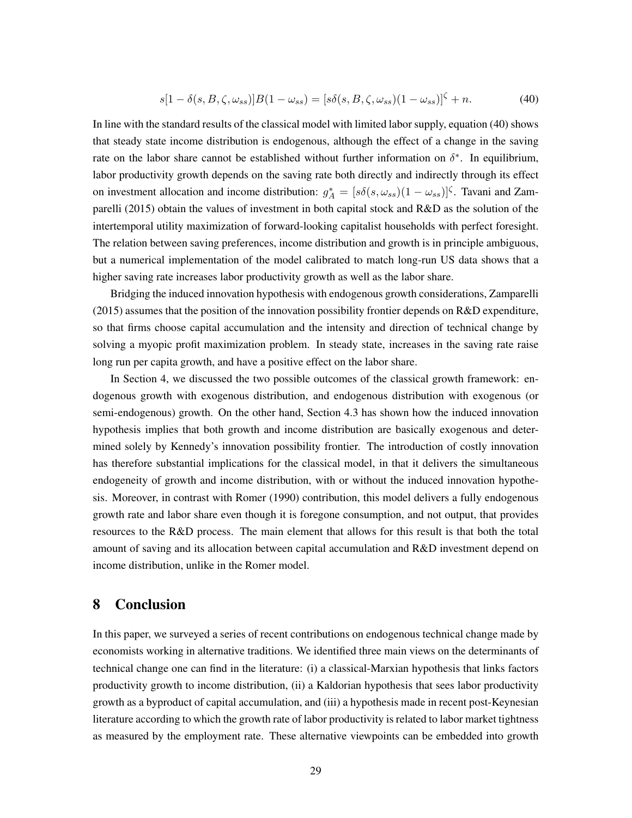<span id="page-29-1"></span>
$$
s[1 - \delta(s, B, \zeta, \omega_{ss})]B(1 - \omega_{ss}) = [s\delta(s, B, \zeta, \omega_{ss})(1 - \omega_{ss})]^{\zeta} + n. \tag{40}
$$

In line with the standard results of the classical model with limited labor supply, equation [\(40\)](#page-29-1) shows that steady state income distribution is endogenous, although the effect of a change in the saving rate on the labor share cannot be established without further information on  $\delta^*$ . In equilibrium, labor productivity growth depends on the saving rate both directly and indirectly through its effect on investment allocation and income distribution:  $g_A^* = [s\delta(s, \omega_{ss})(1 - \omega_{ss})]^{\zeta}$ . [Tavani and Zam](#page-37-14)[parelli](#page-37-14) [\(2015\)](#page-37-14) obtain the values of investment in both capital stock and R&D as the solution of the intertemporal utility maximization of forward-looking capitalist households with perfect foresight. The relation between saving preferences, income distribution and growth is in principle ambiguous, but a numerical implementation of the model calibrated to match long-run US data shows that a higher saving rate increases labor productivity growth as well as the labor share.

Bridging the induced innovation hypothesis with endogenous growth considerations, [Zamparelli](#page-37-11) [\(2015\)](#page-37-11) assumes that the position of the innovation possibility frontier depends on R&D expenditure, so that firms choose capital accumulation and the intensity and direction of technical change by solving a myopic profit maximization problem. In steady state, increases in the saving rate raise long run per capita growth, and have a positive effect on the labor share.

In Section [4,](#page-13-0) we discussed the two possible outcomes of the classical growth framework: endogenous growth with exogenous distribution, and endogenous distribution with exogenous (or semi-endogenous) growth. On the other hand, Section [4.3](#page-16-0) has shown how the induced innovation hypothesis implies that both growth and income distribution are basically exogenous and determined solely by Kennedy's innovation possibility frontier. The introduction of costly innovation has therefore substantial implications for the classical model, in that it delivers the simultaneous endogeneity of growth and income distribution, with or without the induced innovation hypothesis. Moreover, in contrast with [Romer](#page-35-0) [\(1990\)](#page-35-0) contribution, this model delivers a fully endogenous growth rate and labor share even though it is foregone consumption, and not output, that provides resources to the R&D process. The main element that allows for this result is that both the total amount of saving and its allocation between capital accumulation and R&D investment depend on income distribution, unlike in the Romer model.

## <span id="page-29-0"></span>8 Conclusion

In this paper, we surveyed a series of recent contributions on endogenous technical change made by economists working in alternative traditions. We identified three main views on the determinants of technical change one can find in the literature: (i) a classical-Marxian hypothesis that links factors productivity growth to income distribution, (ii) a Kaldorian hypothesis that sees labor productivity growth as a byproduct of capital accumulation, and (iii) a hypothesis made in recent post-Keynesian literature according to which the growth rate of labor productivity is related to labor market tightness as measured by the employment rate. These alternative viewpoints can be embedded into growth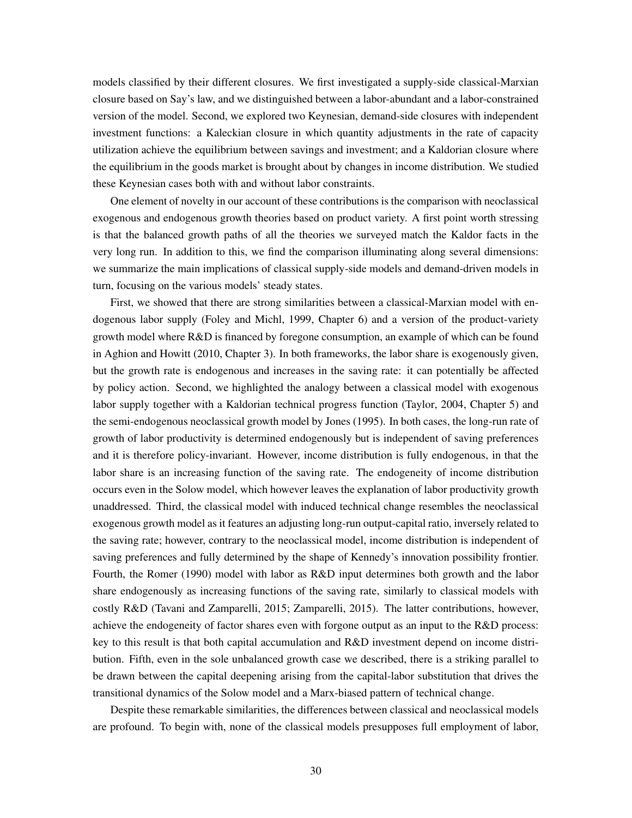models classified by their different closures. We first investigated a supply-side classical-Marxian closure based on Say's law, and we distinguished between a labor-abundant and a labor-constrained version of the model. Second, we explored two Keynesian, demand-side closures with independent investment functions: a Kaleckian closure in which quantity adjustments in the rate of capacity utilization achieve the equilibrium between savings and investment; and a Kaldorian closure where the equilibrium in the goods market is brought about by changes in income distribution. We studied these Keynesian cases both with and without labor constraints.

One element of novelty in our account of these contributions is the comparison with neoclassical exogenous and endogenous growth theories based on product variety. A first point worth stressing is that the balanced growth paths of all the theories we surveyed match the Kaldor facts in the very long run. In addition to this, we find the comparison illuminating along several dimensions: we summarize the main implications of classical supply-side models and demand-driven models in turn, focusing on the various models' steady states.

First, we showed that there are strong similarities between a classical-Marxian model with endogenous labor supply [\(Foley and Michl, 1999,](#page-33-5) Chapter 6) and a version of the product-variety growth model where R&D is financed by foregone consumption, an example of which can be found in [Aghion and Howitt](#page-32-14) [\(2010,](#page-32-14) Chapter 3). In both frameworks, the labor share is exogenously given, but the growth rate is endogenous and increases in the saving rate: it can potentially be affected by policy action. Second, we highlighted the analogy between a classical model with exogenous labor supply together with a Kaldorian technical progress function [\(Taylor, 2004,](#page-37-8) Chapter 5) and the semi-endogenous neoclassical growth model by [Jones](#page-34-7) [\(1995\)](#page-34-7). In both cases, the long-run rate of growth of labor productivity is determined endogenously but is independent of saving preferences and it is therefore policy-invariant. However, income distribution is fully endogenous, in that the labor share is an increasing function of the saving rate. The endogeneity of income distribution occurs even in the Solow model, which however leaves the explanation of labor productivity growth unaddressed. Third, the classical model with induced technical change resembles the neoclassical exogenous growth model as it features an adjusting long-run output-capital ratio, inversely related to the saving rate; however, contrary to the neoclassical model, income distribution is independent of saving preferences and fully determined by the shape of Kennedy's innovation possibility frontier. Fourth, the [Romer](#page-35-0) [\(1990\)](#page-35-0) model with labor as R&D input determines both growth and the labor share endogenously as increasing functions of the saving rate, similarly to classical models with costly R&D [\(Tavani and Zamparelli, 2015;](#page-37-14) [Zamparelli, 2015\)](#page-37-11). The latter contributions, however, achieve the endogeneity of factor shares even with forgone output as an input to the R&D process: key to this result is that both capital accumulation and R&D investment depend on income distribution. Fifth, even in the sole unbalanced growth case we described, there is a striking parallel to be drawn between the capital deepening arising from the capital-labor substitution that drives the transitional dynamics of the Solow model and a Marx-biased pattern of technical change.

Despite these remarkable similarities, the differences between classical and neoclassical models are profound. To begin with, none of the classical models presupposes full employment of labor,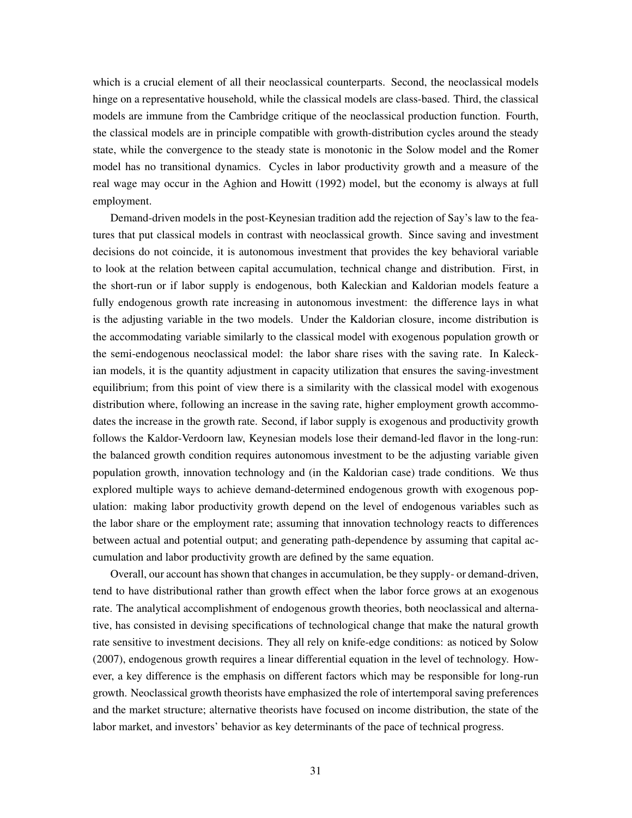which is a crucial element of all their neoclassical counterparts. Second, the neoclassical models hinge on a representative household, while the classical models are class-based. Third, the classical models are immune from the Cambridge critique of the neoclassical production function. Fourth, the classical models are in principle compatible with growth-distribution cycles around the steady state, while the convergence to the steady state is monotonic in the Solow model and the Romer model has no transitional dynamics. Cycles in labor productivity growth and a measure of the real wage may occur in the [Aghion and Howitt](#page-32-0) [\(1992\)](#page-32-0) model, but the economy is always at full employment.

Demand-driven models in the post-Keynesian tradition add the rejection of Say's law to the features that put classical models in contrast with neoclassical growth. Since saving and investment decisions do not coincide, it is autonomous investment that provides the key behavioral variable to look at the relation between capital accumulation, technical change and distribution. First, in the short-run or if labor supply is endogenous, both Kaleckian and Kaldorian models feature a fully endogenous growth rate increasing in autonomous investment: the difference lays in what is the adjusting variable in the two models. Under the Kaldorian closure, income distribution is the accommodating variable similarly to the classical model with exogenous population growth or the semi-endogenous neoclassical model: the labor share rises with the saving rate. In Kaleckian models, it is the quantity adjustment in capacity utilization that ensures the saving-investment equilibrium; from this point of view there is a similarity with the classical model with exogenous distribution where, following an increase in the saving rate, higher employment growth accommodates the increase in the growth rate. Second, if labor supply is exogenous and productivity growth follows the Kaldor-Verdoorn law, Keynesian models lose their demand-led flavor in the long-run: the balanced growth condition requires autonomous investment to be the adjusting variable given population growth, innovation technology and (in the Kaldorian case) trade conditions. We thus explored multiple ways to achieve demand-determined endogenous growth with exogenous population: making labor productivity growth depend on the level of endogenous variables such as the labor share or the employment rate; assuming that innovation technology reacts to differences between actual and potential output; and generating path-dependence by assuming that capital accumulation and labor productivity growth are defined by the same equation.

Overall, our account has shown that changes in accumulation, be they supply- or demand-driven, tend to have distributional rather than growth effect when the labor force grows at an exogenous rate. The analytical accomplishment of endogenous growth theories, both neoclassical and alternative, has consisted in devising specifications of technological change that make the natural growth rate sensitive to investment decisions. They all rely on knife-edge conditions: as noticed by [Solow](#page-37-4) [\(2007\)](#page-37-4), endogenous growth requires a linear differential equation in the level of technology. However, a key difference is the emphasis on different factors which may be responsible for long-run growth. Neoclassical growth theorists have emphasized the role of intertemporal saving preferences and the market structure; alternative theorists have focused on income distribution, the state of the labor market, and investors' behavior as key determinants of the pace of technical progress.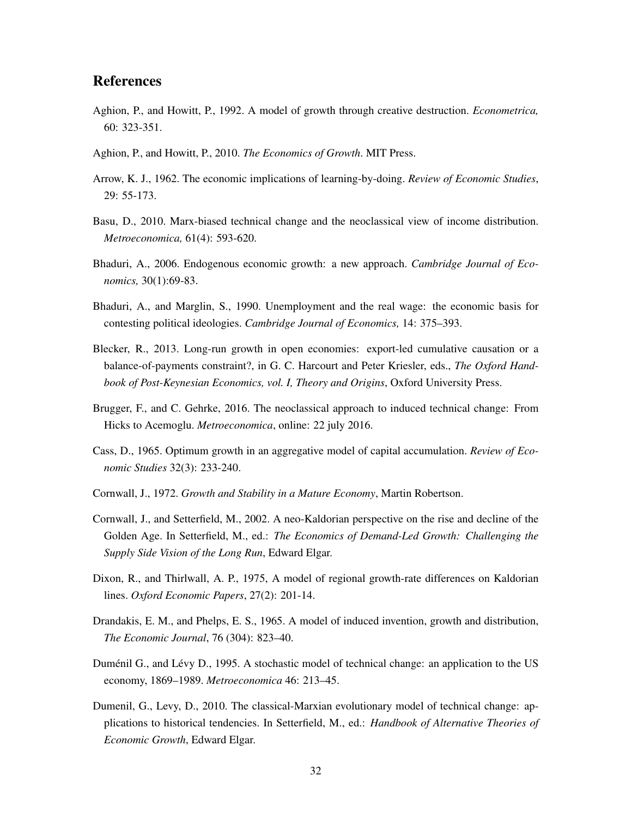## References

- <span id="page-32-0"></span>Aghion, P., and Howitt, P., 1992. A model of growth through creative destruction. *Econometrica,* 60: 323-351.
- <span id="page-32-14"></span>Aghion, P., and Howitt, P., 2010. *The Economics of Growth*. MIT Press.
- <span id="page-32-2"></span>Arrow, K. J., 1962. The economic implications of learning-by-doing. *Review of Economic Studies*, 29: 55-173.
- <span id="page-32-13"></span>Basu, D., 2010. Marx-biased technical change and the neoclassical view of income distribution. *Metroeconomica,* 61(4): 593-620.
- <span id="page-32-8"></span>Bhaduri, A., 2006. Endogenous economic growth: a new approach. *Cambridge Journal of Economics,* 30(1):69-83.
- <span id="page-32-3"></span>Bhaduri, A., and Marglin, S., 1990. Unemployment and the real wage: the economic basis for contesting political ideologies. *Cambridge Journal of Economics,* 14: 375–393.
- <span id="page-32-10"></span>Blecker, R., 2013. Long-run growth in open economies: export-led cumulative causation or a balance-of-payments constraint?, in G. C. Harcourt and Peter Kriesler, eds., *The Oxford Handbook of Post-Keynesian Economics, vol. I, Theory and Origins*, Oxford University Press.
- <span id="page-32-5"></span>Brugger, F., and C. Gehrke, 2016. The neoclassical approach to induced technical change: From Hicks to Acemoglu. *Metroeconomica*, online: 22 july 2016.
- <span id="page-32-1"></span>Cass, D., 1965. Optimum growth in an aggregative model of capital accumulation. *Review of Economic Studies* 32(3): 233-240.
- <span id="page-32-12"></span>Cornwall, J., 1972. *Growth and Stability in a Mature Economy*, Martin Robertson.
- <span id="page-32-11"></span>Cornwall, J., and Setterfield, M., 2002. A neo-Kaldorian perspective on the rise and decline of the Golden Age. In Setterfield, M., ed.: *The Economics of Demand-Led Growth: Challenging the Supply Side Vision of the Long Run*, Edward Elgar.
- <span id="page-32-9"></span>Dixon, R., and Thirlwall, A. P., 1975, A model of regional growth-rate differences on Kaldorian lines. *Oxford Economic Papers*, 27(2): 201-14.
- <span id="page-32-4"></span>Drandakis, E. M., and Phelps, E. S., 1965. A model of induced invention, growth and distribution, *The Economic Journal*, 76 (304): 823–40.
- <span id="page-32-6"></span>Duménil G., and Lévy D., 1995. A stochastic model of technical change: an application to the US economy, 1869–1989. *Metroeconomica* 46: 213–45.
- <span id="page-32-7"></span>Dumenil, G., Levy, D., 2010. The classical-Marxian evolutionary model of technical change: applications to historical tendencies. In Setterfield, M., ed.: *Handbook of Alternative Theories of Economic Growth*, Edward Elgar.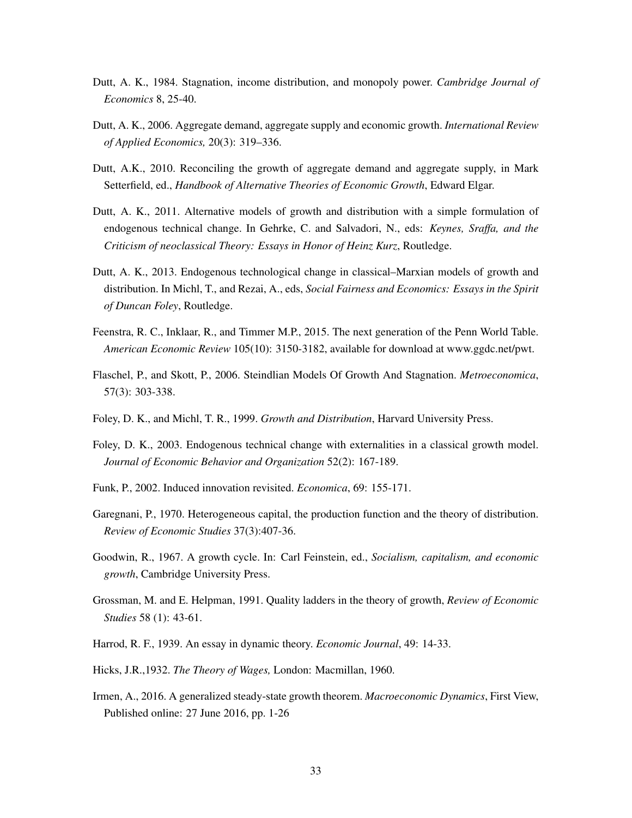- Dutt, A. K., 1984. Stagnation, income distribution, and monopoly power. *Cambridge Journal of Economics* 8, 25-40.
- <span id="page-33-4"></span>Dutt, A. K., 2006. Aggregate demand, aggregate supply and economic growth. *International Review of Applied Economics,* 20(3): 319–336.
- <span id="page-33-13"></span>Dutt, A.K., 2010. Reconciling the growth of aggregate demand and aggregate supply, in Mark Setterfield, ed., *Handbook of Alternative Theories of Economic Growth*, Edward Elgar.
- <span id="page-33-7"></span>Dutt, A. K., 2011. Alternative models of growth and distribution with a simple formulation of endogenous technical change. In Gehrke, C. and Salvadori, N., eds: *Keynes, Sraffa, and the Criticism of neoclassical Theory: Essays in Honor of Heinz Kurz*, Routledge.
- <span id="page-33-3"></span>Dutt, A. K., 2013. Endogenous technological change in classical–Marxian models of growth and distribution. In Michl, T., and Rezai, A., eds, *Social Fairness and Economics: Essays in the Spirit of Duncan Foley*, Routledge.
- <span id="page-33-14"></span>Feenstra, R. C., Inklaar, R., and Timmer M.P., 2015. The next generation of the Penn World Table. *American Economic Review* 105(10): 3150-3182, available for download at [www.ggdc.net/pwt.](http://www.ggdc.net/pwt)
- <span id="page-33-12"></span>Flaschel, P., and Skott, P., 2006. Steindlian Models Of Growth And Stagnation. *Metroeconomica*, 57(3): 303-338.
- <span id="page-33-5"></span>Foley, D. K., and Michl, T. R., 1999. *Growth and Distribution*, Harvard University Press.
- <span id="page-33-11"></span>Foley, D. K., 2003. Endogenous technical change with externalities in a classical growth model. *Journal of Economic Behavior and Organization* 52(2): 167-189.
- <span id="page-33-10"></span>Funk, P., 2002. Induced innovation revisited. *Economica*, 69: 155-171.
- <span id="page-33-1"></span>Garegnani, P., 1970. Heterogeneous capital, the production function and the theory of distribution. *Review of Economic Studies* 37(3):407-36.
- <span id="page-33-8"></span>Goodwin, R., 1967. A growth cycle. In: Carl Feinstein, ed., *Socialism, capitalism, and economic growth*, Cambridge University Press.
- <span id="page-33-0"></span>Grossman, M. and E. Helpman, 1991. Quality ladders in the theory of growth, *Review of Economic Studies* 58 (1): 43-61.
- <span id="page-33-6"></span>Harrod, R. F., 1939. An essay in dynamic theory. *Economic Journal*, 49: 14-33.
- <span id="page-33-9"></span>Hicks, J.R.,1932. *The Theory of Wages,* London: Macmillan, 1960.
- <span id="page-33-2"></span>Irmen, A., 2016. A generalized steady-state growth theorem. *Macroeconomic Dynamics*, First View, Published online: 27 June 2016, pp. 1-26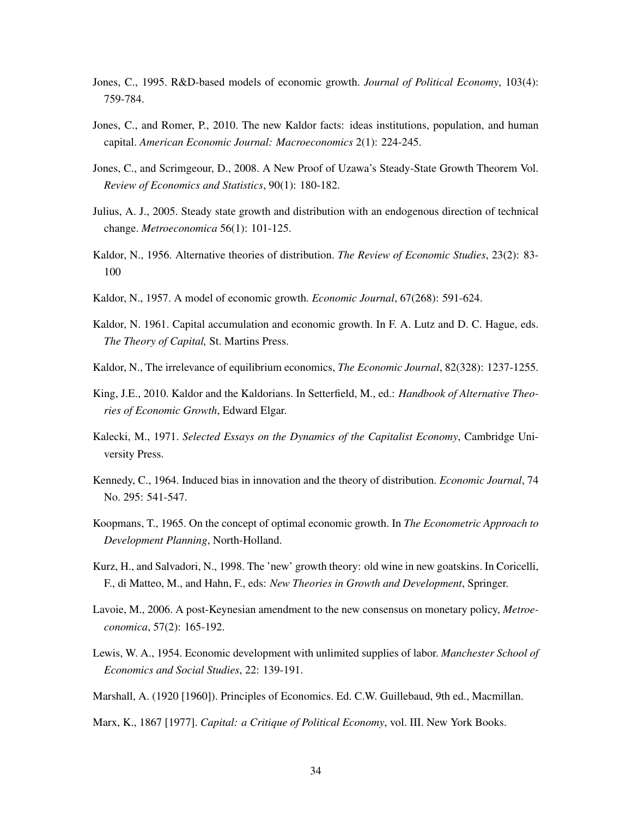- <span id="page-34-7"></span>Jones, C., 1995. R&D-based models of economic growth. *Journal of Political Economy*, 103(4): 759-784.
- <span id="page-34-2"></span>Jones, C., and Romer, P., 2010. The new Kaldor facts: ideas institutions, population, and human capital. *American Economic Journal: Macroeconomics* 2(1): 224-245.
- <span id="page-34-8"></span>Jones, C., and Scrimgeour, D., 2008. A New Proof of Uzawa's Steady-State Growth Theorem Vol. *Review of Economics and Statistics*, 90(1): 180-182.
- <span id="page-34-11"></span>Julius, A. J., 2005. Steady state growth and distribution with an endogenous direction of technical change. *Metroeconomica* 56(1): 101-125.
- <span id="page-34-16"></span>Kaldor, N., 1956. Alternative theories of distribution. *The Review of Economic Studies*, 23(2): 83- 100
- <span id="page-34-5"></span>Kaldor, N., 1957. A model of economic growth. *Economic Journal*, 67(268): 591-624.
- <span id="page-34-3"></span>Kaldor, N. 1961. Capital accumulation and economic growth. In F. A. Lutz and D. C. Hague, eds. *The Theory of Capital,* St. Martins Press.
- <span id="page-34-14"></span>Kaldor, N., The irrelevance of equilibrium economics, *The Economic Journal*, 82(328): 1237-1255.
- <span id="page-34-15"></span>King, J.E., 2010. Kaldor and the Kaldorians. In Setterfield, M., ed.: *Handbook of Alternative Theories of Economic Growth*, Edward Elgar.
- <span id="page-34-12"></span>Kalecki, M., 1971. *Selected Essays on the Dynamics of the Capitalist Economy*, Cambridge University Press.
- <span id="page-34-4"></span>Kennedy, C., 1964. Induced bias in innovation and the theory of distribution. *Economic Journal*, 74 No. 295: 541-547.
- <span id="page-34-1"></span>Koopmans, T., 1965. On the concept of optimal economic growth. In *The Econometric Approach to Development Planning*, North-Holland.
- <span id="page-34-6"></span>Kurz, H., and Salvadori, N., 1998. The 'new' growth theory: old wine in new goatskins. In Coricelli, F., di Matteo, M., and Hahn, F., eds: *New Theories in Growth and Development*, Springer.
- <span id="page-34-13"></span>Lavoie, M., 2006. A post-Keynesian amendment to the new consensus on monetary policy, *Metroeconomica*, 57(2): 165-192.
- <span id="page-34-10"></span>Lewis, W. A., 1954. Economic development with unlimited supplies of labor. *Manchester School of Economics and Social Studies*, 22: 139-191.
- <span id="page-34-9"></span>Marshall, A. (1920 [1960]). Principles of Economics. Ed. C.W. Guillebaud, 9th ed., Macmillan.
- <span id="page-34-0"></span>Marx, K., 1867 [1977]. *Capital: a Critique of Political Economy*, vol. III. New York Books.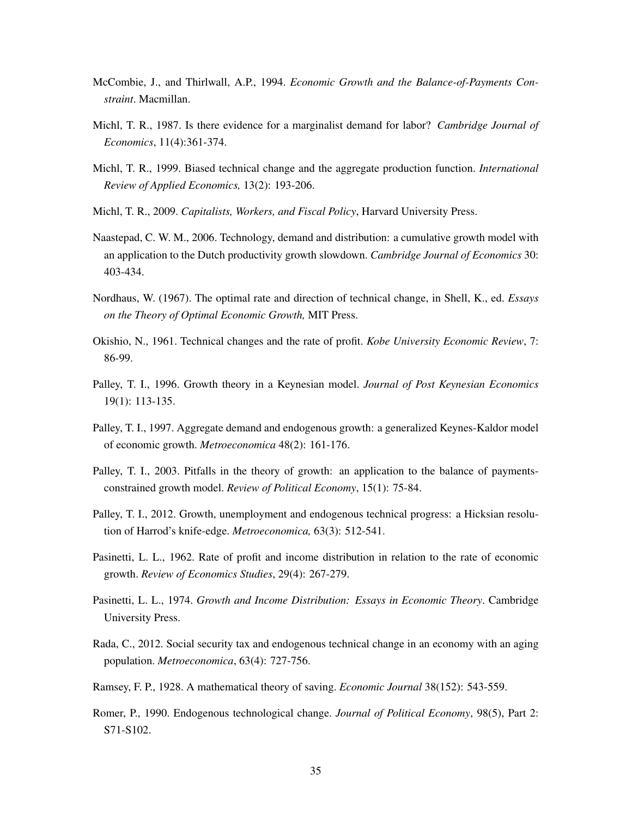- <span id="page-35-10"></span>McCombie, J., and Thirlwall, A.P., 1994. *Economic Growth and the Balance-of-Payments Constraint*. Macmillan.
- <span id="page-35-14"></span>Michl, T. R., 1987. Is there evidence for a marginalist demand for labor? *Cambridge Journal of Economics*, 11(4):361-374.
- <span id="page-35-13"></span>Michl, T. R., 1999. Biased technical change and the aggregate production function. *International Review of Applied Economics,* 13(2): 193-206.
- <span id="page-35-6"></span>Michl, T. R., 2009. *Capitalists, Workers, and Fiscal Policy*, Harvard University Press.
- <span id="page-35-11"></span>Naastepad, C. W. M., 2006. Technology, demand and distribution: a cumulative growth model with an application to the Dutch productivity growth slowdown. *Cambridge Journal of Economics* 30: 403-434.
- <span id="page-35-8"></span>Nordhaus, W. (1967). The optimal rate and direction of technical change, in Shell, K., ed. *Essays on the Theory of Optimal Economic Growth,* MIT Press.
- <span id="page-35-2"></span>Okishio, N., 1961. Technical changes and the rate of profit. *Kobe University Economic Review*, 7: 86-99.
- <span id="page-35-9"></span>Palley, T. I., 1996. Growth theory in a Keynesian model. *Journal of Post Keynesian Economics* 19(1): 113-135.
- Palley, T. I., 1997. Aggregate demand and endogenous growth: a generalized Keynes-Kaldor model of economic growth. *Metroeconomica* 48(2): 161-176.
- <span id="page-35-12"></span>Palley, T. I., 2003. Pitfalls in the theory of growth: an application to the balance of paymentsconstrained growth model. *Review of Political Economy*, 15(1): 75-84.
- <span id="page-35-3"></span>Palley, T. I., 2012. Growth, unemployment and endogenous technical progress: a Hicksian resolution of Harrod's knife-edge. *Metroeconomica,* 63(3): 512-541.
- <span id="page-35-5"></span>Pasinetti, L. L., 1962. Rate of profit and income distribution in relation to the rate of economic growth. *Review of Economics Studies*, 29(4): 267-279.
- <span id="page-35-4"></span>Pasinetti, L. L., 1974. *Growth and Income Distribution: Essays in Economic Theory*. Cambridge University Press.
- <span id="page-35-7"></span>Rada, C., 2012. Social security tax and endogenous technical change in an economy with an aging population. *Metroeconomica*, 63(4): 727-756.
- <span id="page-35-1"></span>Ramsey, F. P., 1928. A mathematical theory of saving. *Economic Journal* 38(152): 543-559.
- <span id="page-35-0"></span>Romer, P., 1990. Endogenous technological change. *Journal of Political Economy*, 98(5), Part 2: S71-S102.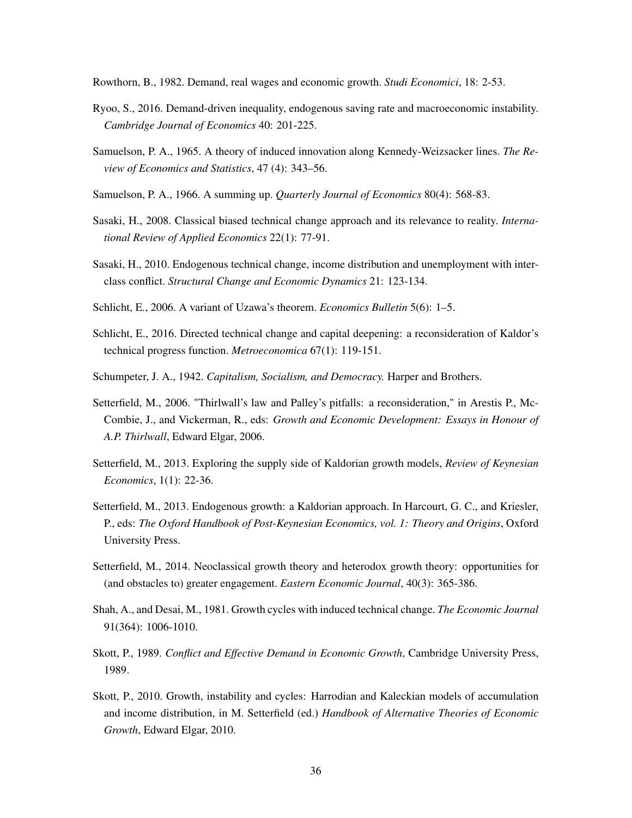Rowthorn, B., 1982. Demand, real wages and economic growth. *Studi Economici*, 18: 2-53.

- <span id="page-36-10"></span>Ryoo, S., 2016. Demand-driven inequality, endogenous saving rate and macroeconomic instability. *Cambridge Journal of Economics* 40: 201-225.
- <span id="page-36-7"></span>Samuelson, P. A., 1965. A theory of induced innovation along Kennedy-Weizsacker lines. *The Review of Economics and Statistics*, 47 (4): 343–56.
- <span id="page-36-1"></span>Samuelson, P. A., 1966. A summing up. *Quarterly Journal of Economics* 80(4): 568-83.
- Sasaki, H., 2008. Classical biased technical change approach and its relevance to reality. *International Review of Applied Economics* 22(1): 77-91.
- <span id="page-36-3"></span>Sasaki, H., 2010. Endogenous technical change, income distribution and unemployment with interclass conflict. *Structural Change and Economic Dynamics* 21: 123-134.
- <span id="page-36-2"></span>Schlicht, E., 2006. A variant of Uzawa's theorem. *Economics Bulletin* 5(6): 1–5.
- <span id="page-36-6"></span>Schlicht, E., 2016. Directed technical change and capital deepening: a reconsideration of Kaldor's technical progress function. *Metroeconomica* 67(1): 119-151.
- <span id="page-36-0"></span>Schumpeter, J. A., 1942. *Capitalism, Socialism, and Democracy.* Harper and Brothers.
- <span id="page-36-12"></span>Setterfield, M., 2006. "Thirlwall's law and Palley's pitfalls: a reconsideration," in Arestis P., Mc-Combie, J., and Vickerman, R., eds: *Growth and Economic Development: Essays in Honour of A.P. Thirlwall*, Edward Elgar, 2006.
- <span id="page-36-4"></span>Setterfield, M., 2013. Exploring the supply side of Kaldorian growth models, *Review of Keynesian Economics*, 1(1): 22-36.
- <span id="page-36-5"></span>Setterfield, M., 2013. Endogenous growth: a Kaldorian approach. In Harcourt, G. C., and Kriesler, P., eds: *The Oxford Handbook of Post-Keynesian Economics, vol. 1: Theory and Origins*, Oxford University Press.
- Setterfield, M., 2014. Neoclassical growth theory and heterodox growth theory: opportunities for (and obstacles to) greater engagement. *Eastern Economic Journal*, 40(3): 365-386.
- <span id="page-36-8"></span>Shah, A., and Desai, M., 1981. Growth cycles with induced technical change. *The Economic Journal* 91(364): 1006-1010.
- <span id="page-36-11"></span>Skott, P., 1989. *Conflict and Effective Demand in Economic Growth*, Cambridge University Press, 1989.
- <span id="page-36-9"></span>Skott, P., 2010. Growth, instability and cycles: Harrodian and Kaleckian models of accumulation and income distribution, in M. Setterfield (ed.) *Handbook of Alternative Theories of Economic Growth*, Edward Elgar, 2010.